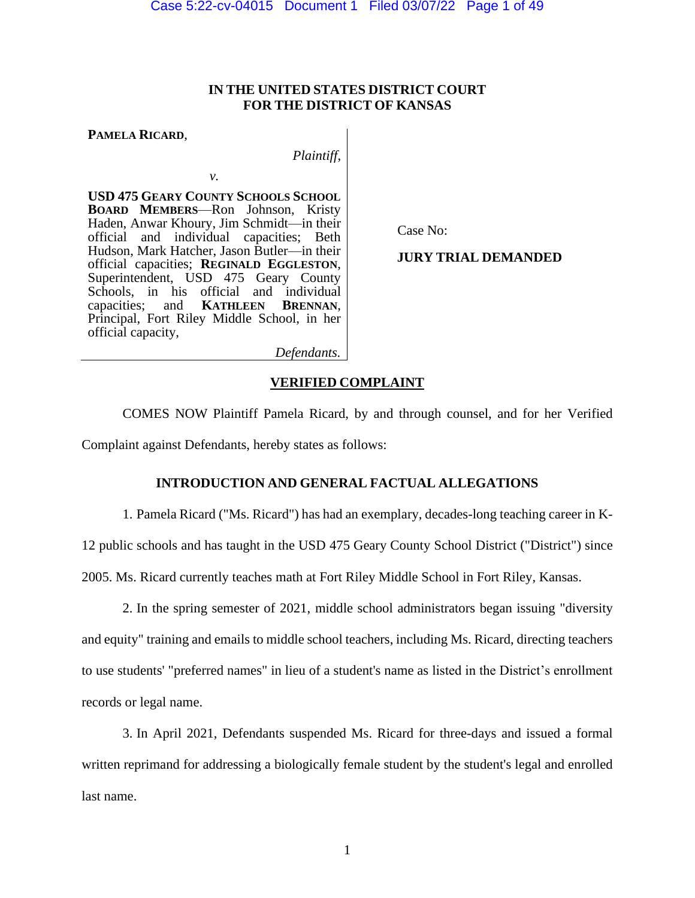## **IN THE UNITED STATES DISTRICT COURT FOR THE DISTRICT OF KANSAS**

**PAMELA RICARD**,

*Plaintiff*,

**USD 475 GEARY COUNTY SCHOOLS SCHOOL BOARD MEMBERS**—Ron Johnson, Kristy Haden, Anwar Khoury, Jim Schmidt—in their official and individual capacities; Beth Hudson, Mark Hatcher, Jason Butler—in their official capacities; **REGINALD EGGLESTON**, Superintendent, USD 475 Geary County Schools, in his official and individual capacities; and **KATHLEEN BRENNAN**,  $K$ **ATHLEEN** Principal, Fort Riley Middle School, in her official capacity,

*v.*

Case No:

**JURY TRIAL DEMANDED**

*Defendants.*

## **VERIFIED COMPLAINT**

COMES NOW Plaintiff Pamela Ricard, by and through counsel, and for her Verified Complaint against Defendants, hereby states as follows:

## **INTRODUCTION AND GENERAL FACTUAL ALLEGATIONS**

1. Pamela Ricard ("Ms. Ricard") has had an exemplary, decades-long teaching career in K-

12 public schools and has taught in the USD 475 Geary County School District ("District") since

2005. Ms. Ricard currently teaches math at Fort Riley Middle School in Fort Riley, Kansas.

2. In the spring semester of 2021, middle school administrators began issuing "diversity and equity" training and emails to middle school teachers, including Ms. Ricard, directing teachers to use students' "preferred names" in lieu of a student's name as listed in the District's enrollment records or legal name.

3. In April 2021, Defendants suspended Ms. Ricard for three-days and issued a formal written reprimand for addressing a biologically female student by the student's legal and enrolled last name.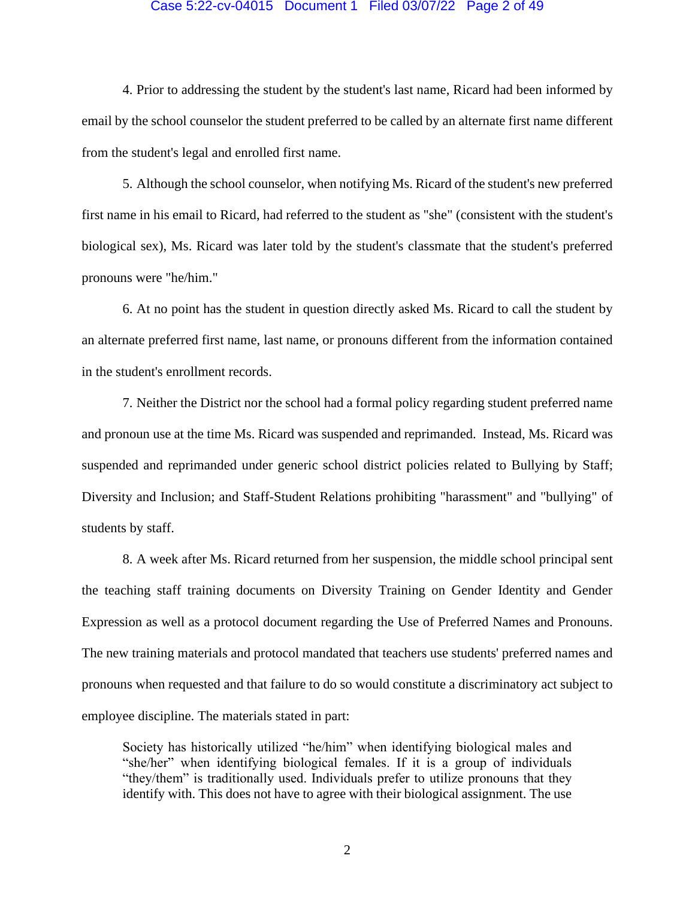#### Case 5:22-cv-04015 Document 1 Filed 03/07/22 Page 2 of 49

4. Prior to addressing the student by the student's last name, Ricard had been informed by email by the school counselor the student preferred to be called by an alternate first name different from the student's legal and enrolled first name.

5. Although the school counselor, when notifying Ms. Ricard of the student's new preferred first name in his email to Ricard, had referred to the student as "she" (consistent with the student's biological sex), Ms. Ricard was later told by the student's classmate that the student's preferred pronouns were "he/him."

6. At no point has the student in question directly asked Ms. Ricard to call the student by an alternate preferred first name, last name, or pronouns different from the information contained in the student's enrollment records.

7. Neither the District nor the school had a formal policy regarding student preferred name and pronoun use at the time Ms. Ricard was suspended and reprimanded. Instead, Ms. Ricard was suspended and reprimanded under generic school district policies related to Bullying by Staff; Diversity and Inclusion; and Staff-Student Relations prohibiting "harassment" and "bullying" of students by staff.

8. A week after Ms. Ricard returned from her suspension, the middle school principal sent the teaching staff training documents on Diversity Training on Gender Identity and Gender Expression as well as a protocol document regarding the Use of Preferred Names and Pronouns. The new training materials and protocol mandated that teachers use students' preferred names and pronouns when requested and that failure to do so would constitute a discriminatory act subject to employee discipline. The materials stated in part:

Society has historically utilized "he/him" when identifying biological males and "she/her" when identifying biological females. If it is a group of individuals "they/them" is traditionally used. Individuals prefer to utilize pronouns that they identify with. This does not have to agree with their biological assignment. The use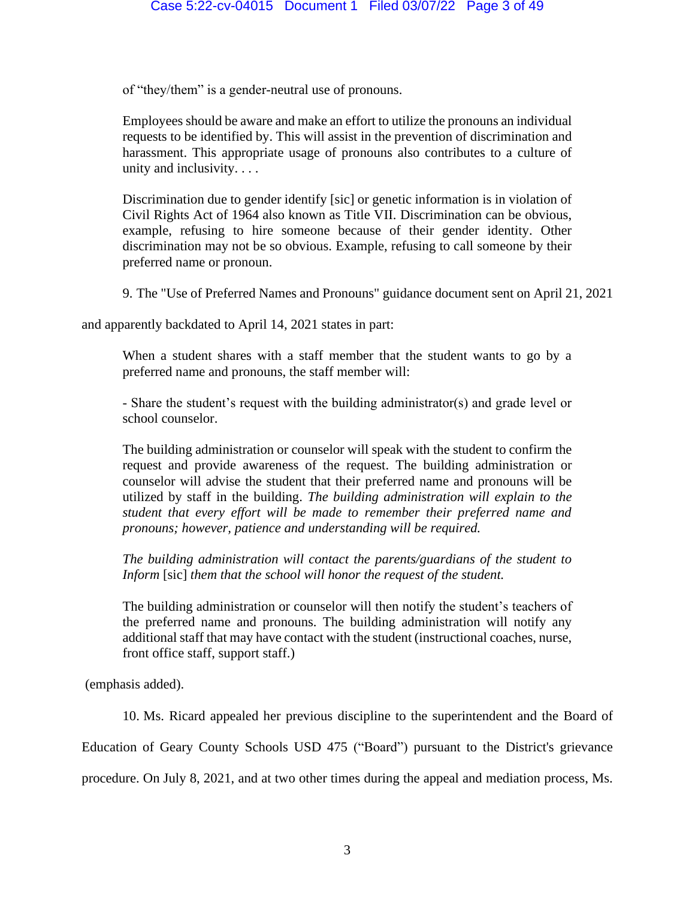of "they/them" is a gender-neutral use of pronouns.

Employees should be aware and make an effort to utilize the pronouns an individual requests to be identified by. This will assist in the prevention of discrimination and harassment. This appropriate usage of pronouns also contributes to a culture of unity and inclusivity. . . .

Discrimination due to gender identify [sic] or genetic information is in violation of Civil Rights Act of 1964 also known as Title VII. Discrimination can be obvious, example, refusing to hire someone because of their gender identity. Other discrimination may not be so obvious. Example, refusing to call someone by their preferred name or pronoun.

9. The "Use of Preferred Names and Pronouns" guidance document sent on April 21, 2021

and apparently backdated to April 14, 2021 states in part:

When a student shares with a staff member that the student wants to go by a preferred name and pronouns, the staff member will:

- Share the student's request with the building administrator(s) and grade level or school counselor.

The building administration or counselor will speak with the student to confirm the request and provide awareness of the request. The building administration or counselor will advise the student that their preferred name and pronouns will be utilized by staff in the building. *The building administration will explain to the student that every effort will be made to remember their preferred name and pronouns; however, patience and understanding will be required.*

*The building administration will contact the parents/guardians of the student to Inform* [sic] *them that the school will honor the request of the student.*

The building administration or counselor will then notify the student's teachers of the preferred name and pronouns. The building administration will notify any additional staff that may have contact with the student (instructional coaches, nurse, front office staff, support staff.)

(emphasis added).

10. Ms. Ricard appealed her previous discipline to the superintendent and the Board of

Education of Geary County Schools USD 475 ("Board") pursuant to the District's grievance

procedure. On July 8, 2021, and at two other times during the appeal and mediation process, Ms.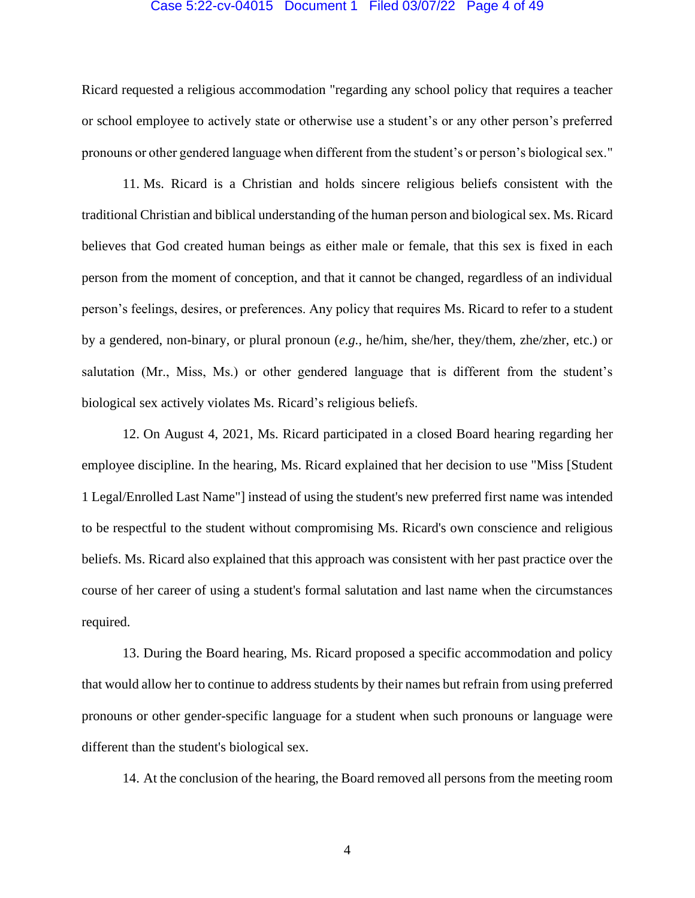#### Case 5:22-cv-04015 Document 1 Filed 03/07/22 Page 4 of 49

Ricard requested a religious accommodation "regarding any school policy that requires a teacher or school employee to actively state or otherwise use a student's or any other person's preferred pronouns or other gendered language when different from the student's or person's biological sex."

11. Ms. Ricard is a Christian and holds sincere religious beliefs consistent with the traditional Christian and biblical understanding of the human person and biological sex. Ms. Ricard believes that God created human beings as either male or female, that this sex is fixed in each person from the moment of conception, and that it cannot be changed, regardless of an individual person's feelings, desires, or preferences. Any policy that requires Ms. Ricard to refer to a student by a gendered, non-binary, or plural pronoun (*e.g.*, he/him, she/her, they/them, zhe/zher, etc.) or salutation (Mr., Miss, Ms.) or other gendered language that is different from the student's biological sex actively violates Ms. Ricard's religious beliefs.

12. On August 4, 2021, Ms. Ricard participated in a closed Board hearing regarding her employee discipline. In the hearing, Ms. Ricard explained that her decision to use "Miss [Student 1 Legal/Enrolled Last Name"] instead of using the student's new preferred first name was intended to be respectful to the student without compromising Ms. Ricard's own conscience and religious beliefs. Ms. Ricard also explained that this approach was consistent with her past practice over the course of her career of using a student's formal salutation and last name when the circumstances required.

13. During the Board hearing, Ms. Ricard proposed a specific accommodation and policy that would allow her to continue to address students by their names but refrain from using preferred pronouns or other gender-specific language for a student when such pronouns or language were different than the student's biological sex.

14. At the conclusion of the hearing, the Board removed all persons from the meeting room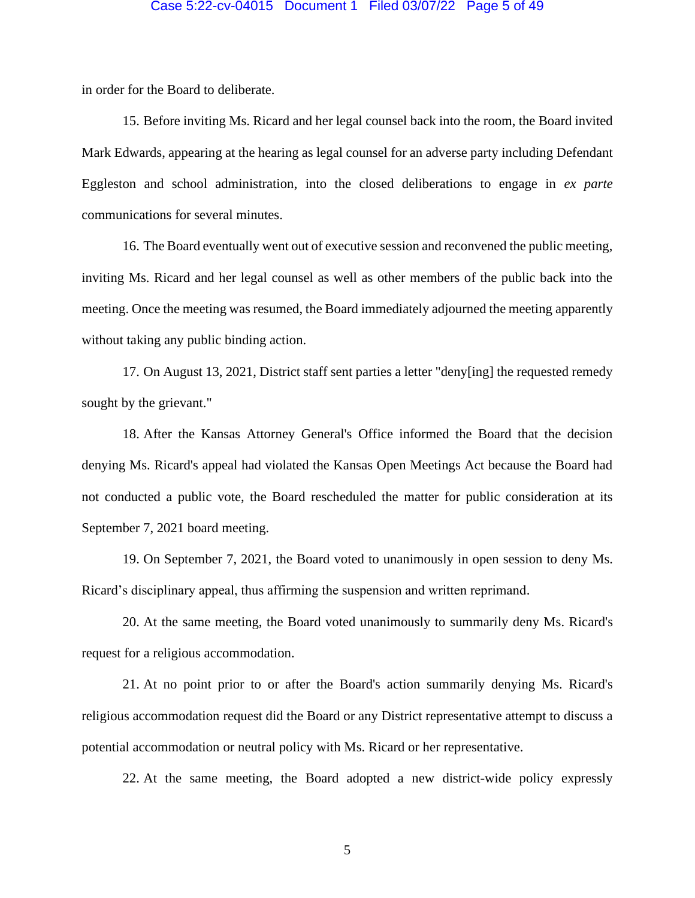#### Case 5:22-cv-04015 Document 1 Filed 03/07/22 Page 5 of 49

in order for the Board to deliberate.

15. Before inviting Ms. Ricard and her legal counsel back into the room, the Board invited Mark Edwards, appearing at the hearing as legal counsel for an adverse party including Defendant Eggleston and school administration, into the closed deliberations to engage in *ex parte* communications for several minutes.

16. The Board eventually went out of executive session and reconvened the public meeting, inviting Ms. Ricard and her legal counsel as well as other members of the public back into the meeting. Once the meeting was resumed, the Board immediately adjourned the meeting apparently without taking any public binding action.

17. On August 13, 2021, District staff sent parties a letter "deny[ing] the requested remedy sought by the grievant."

18. After the Kansas Attorney General's Office informed the Board that the decision denying Ms. Ricard's appeal had violated the Kansas Open Meetings Act because the Board had not conducted a public vote, the Board rescheduled the matter for public consideration at its September 7, 2021 board meeting.

19. On September 7, 2021, the Board voted to unanimously in open session to deny Ms. Ricard's disciplinary appeal, thus affirming the suspension and written reprimand.

20. At the same meeting, the Board voted unanimously to summarily deny Ms. Ricard's request for a religious accommodation.

21. At no point prior to or after the Board's action summarily denying Ms. Ricard's religious accommodation request did the Board or any District representative attempt to discuss a potential accommodation or neutral policy with Ms. Ricard or her representative.

22. At the same meeting, the Board adopted a new district-wide policy expressly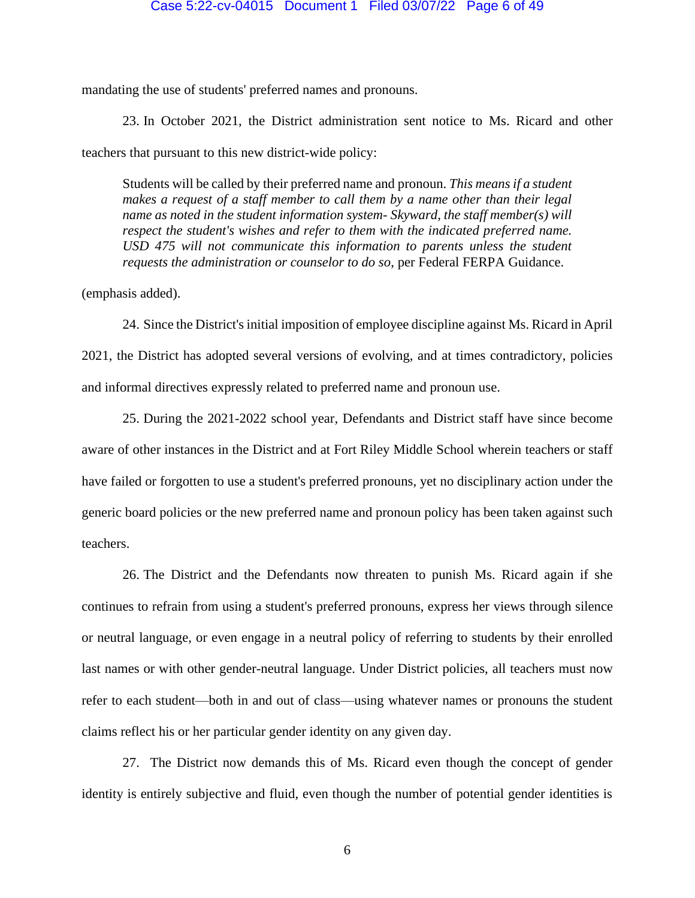mandating the use of students' preferred names and pronouns.

23. In October 2021, the District administration sent notice to Ms. Ricard and other teachers that pursuant to this new district-wide policy:

Students will be called by their preferred name and pronoun. *This means if a student*  makes a request of a staff member to call them by a name other than their legal *name as noted in the student information system- Skyward, the staff member(s) will respect the student's wishes and refer to them with the indicated preferred name. USD 475 will not communicate this information to parents unless the student requests the administration or counselor to do so*, per Federal FERPA Guidance.

(emphasis added).

24. Since the District's initial imposition of employee discipline against Ms. Ricard in April 2021, the District has adopted several versions of evolving, and at times contradictory, policies and informal directives expressly related to preferred name and pronoun use.

25. During the 2021-2022 school year, Defendants and District staff have since become aware of other instances in the District and at Fort Riley Middle School wherein teachers or staff have failed or forgotten to use a student's preferred pronouns, yet no disciplinary action under the generic board policies or the new preferred name and pronoun policy has been taken against such teachers.

26. The District and the Defendants now threaten to punish Ms. Ricard again if she continues to refrain from using a student's preferred pronouns, express her views through silence or neutral language, or even engage in a neutral policy of referring to students by their enrolled last names or with other gender-neutral language. Under District policies, all teachers must now refer to each student—both in and out of class—using whatever names or pronouns the student claims reflect his or her particular gender identity on any given day.

27. The District now demands this of Ms. Ricard even though the concept of gender identity is entirely subjective and fluid, even though the number of potential gender identities is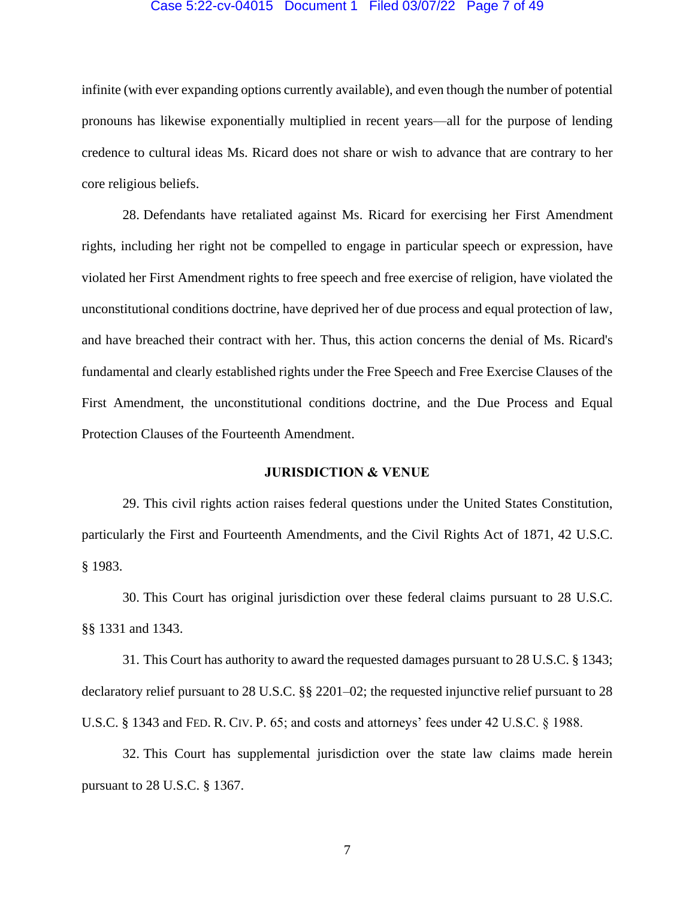#### Case 5:22-cv-04015 Document 1 Filed 03/07/22 Page 7 of 49

infinite (with ever expanding options currently available), and even though the number of potential pronouns has likewise exponentially multiplied in recent years—all for the purpose of lending credence to cultural ideas Ms. Ricard does not share or wish to advance that are contrary to her core religious beliefs.

28. Defendants have retaliated against Ms. Ricard for exercising her First Amendment rights, including her right not be compelled to engage in particular speech or expression, have violated her First Amendment rights to free speech and free exercise of religion, have violated the unconstitutional conditions doctrine, have deprived her of due process and equal protection of law, and have breached their contract with her. Thus, this action concerns the denial of Ms. Ricard's fundamental and clearly established rights under the Free Speech and Free Exercise Clauses of the First Amendment, the unconstitutional conditions doctrine, and the Due Process and Equal Protection Clauses of the Fourteenth Amendment.

## **JURISDICTION & VENUE**

29. This civil rights action raises federal questions under the United States Constitution, particularly the First and Fourteenth Amendments, and the Civil Rights Act of 1871, 42 U.S.C. § 1983.

30. This Court has original jurisdiction over these federal claims pursuant to 28 U.S.C. §§ 1331 and 1343.

31. This Court has authority to award the requested damages pursuant to 28 U.S.C. § 1343; declaratory relief pursuant to 28 U.S.C. §§ 2201–02; the requested injunctive relief pursuant to 28 U.S.C. § 1343 and FED. R. CIV. P. 65; and costs and attorneys' fees under 42 U.S.C. § 1988.

32. This Court has supplemental jurisdiction over the state law claims made herein pursuant to 28 U.S.C. § 1367.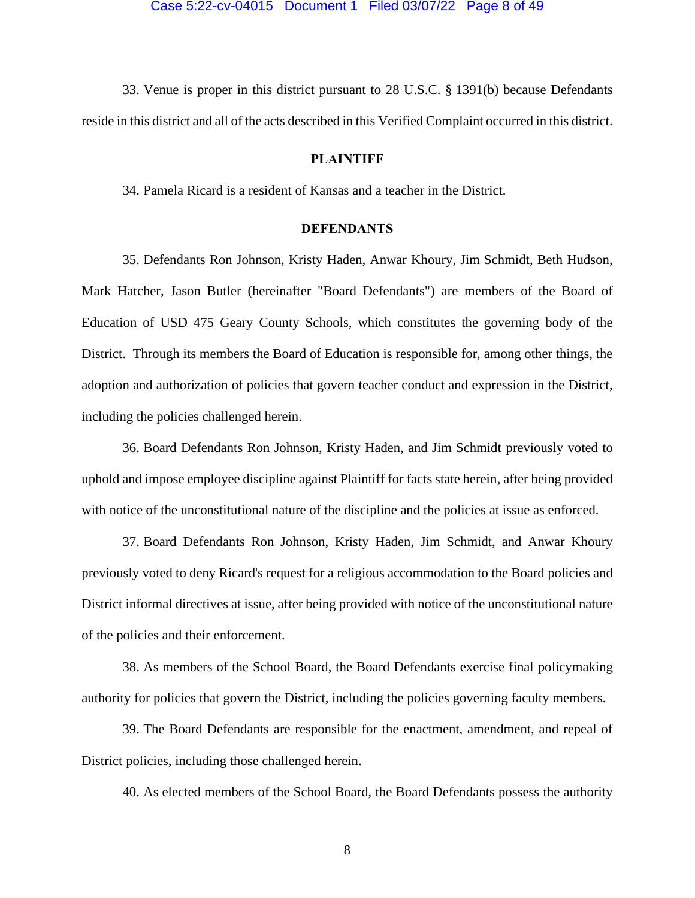33. Venue is proper in this district pursuant to 28 U.S.C. § 1391(b) because Defendants reside in this district and all of the acts described in this Verified Complaint occurred in this district.

#### **PLAINTIFF**

34. Pamela Ricard is a resident of Kansas and a teacher in the District.

## **DEFENDANTS**

35. Defendants Ron Johnson, Kristy Haden, Anwar Khoury, Jim Schmidt, Beth Hudson, Mark Hatcher, Jason Butler (hereinafter "Board Defendants") are members of the Board of Education of USD 475 Geary County Schools, which constitutes the governing body of the District. Through its members the Board of Education is responsible for, among other things, the adoption and authorization of policies that govern teacher conduct and expression in the District, including the policies challenged herein.

36. Board Defendants Ron Johnson, Kristy Haden, and Jim Schmidt previously voted to uphold and impose employee discipline against Plaintiff for facts state herein, after being provided with notice of the unconstitutional nature of the discipline and the policies at issue as enforced.

37. Board Defendants Ron Johnson, Kristy Haden, Jim Schmidt, and Anwar Khoury previously voted to deny Ricard's request for a religious accommodation to the Board policies and District informal directives at issue, after being provided with notice of the unconstitutional nature of the policies and their enforcement.

38. As members of the School Board, the Board Defendants exercise final policymaking authority for policies that govern the District, including the policies governing faculty members.

39. The Board Defendants are responsible for the enactment, amendment, and repeal of District policies, including those challenged herein.

40. As elected members of the School Board, the Board Defendants possess the authority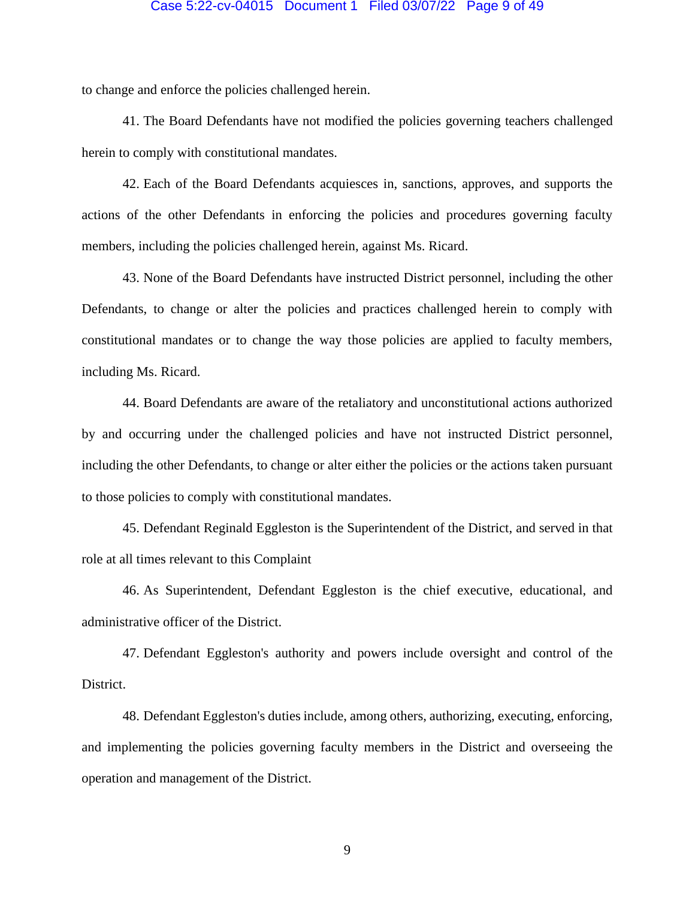#### Case 5:22-cv-04015 Document 1 Filed 03/07/22 Page 9 of 49

to change and enforce the policies challenged herein.

41. The Board Defendants have not modified the policies governing teachers challenged herein to comply with constitutional mandates.

42. Each of the Board Defendants acquiesces in, sanctions, approves, and supports the actions of the other Defendants in enforcing the policies and procedures governing faculty members, including the policies challenged herein, against Ms. Ricard.

43. None of the Board Defendants have instructed District personnel, including the other Defendants, to change or alter the policies and practices challenged herein to comply with constitutional mandates or to change the way those policies are applied to faculty members, including Ms. Ricard.

44. Board Defendants are aware of the retaliatory and unconstitutional actions authorized by and occurring under the challenged policies and have not instructed District personnel, including the other Defendants, to change or alter either the policies or the actions taken pursuant to those policies to comply with constitutional mandates.

45. Defendant Reginald Eggleston is the Superintendent of the District, and served in that role at all times relevant to this Complaint

46. As Superintendent, Defendant Eggleston is the chief executive, educational, and administrative officer of the District.

47. Defendant Eggleston's authority and powers include oversight and control of the District.

48. Defendant Eggleston's duties include, among others, authorizing, executing, enforcing, and implementing the policies governing faculty members in the District and overseeing the operation and management of the District.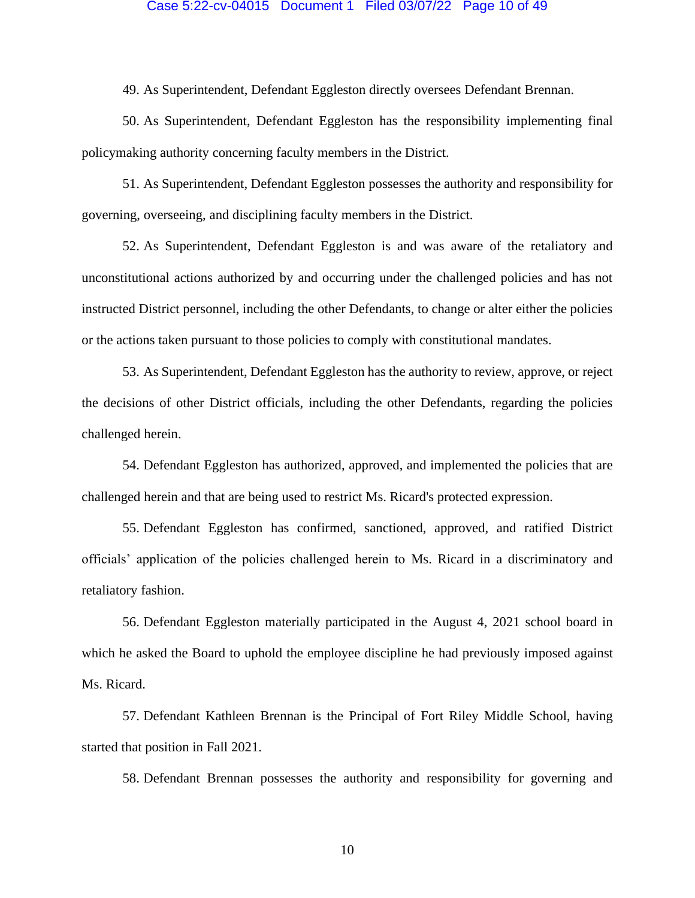## Case 5:22-cv-04015 Document 1 Filed 03/07/22 Page 10 of 49

49. As Superintendent, Defendant Eggleston directly oversees Defendant Brennan.

50. As Superintendent, Defendant Eggleston has the responsibility implementing final policymaking authority concerning faculty members in the District.

51. As Superintendent, Defendant Eggleston possesses the authority and responsibility for governing, overseeing, and disciplining faculty members in the District.

52. As Superintendent, Defendant Eggleston is and was aware of the retaliatory and unconstitutional actions authorized by and occurring under the challenged policies and has not instructed District personnel, including the other Defendants, to change or alter either the policies or the actions taken pursuant to those policies to comply with constitutional mandates.

53. As Superintendent, Defendant Eggleston has the authority to review, approve, or reject the decisions of other District officials, including the other Defendants, regarding the policies challenged herein.

54. Defendant Eggleston has authorized, approved, and implemented the policies that are challenged herein and that are being used to restrict Ms. Ricard's protected expression.

55. Defendant Eggleston has confirmed, sanctioned, approved, and ratified District officials' application of the policies challenged herein to Ms. Ricard in a discriminatory and retaliatory fashion.

56. Defendant Eggleston materially participated in the August 4, 2021 school board in which he asked the Board to uphold the employee discipline he had previously imposed against Ms. Ricard.

57. Defendant Kathleen Brennan is the Principal of Fort Riley Middle School, having started that position in Fall 2021.

58. Defendant Brennan possesses the authority and responsibility for governing and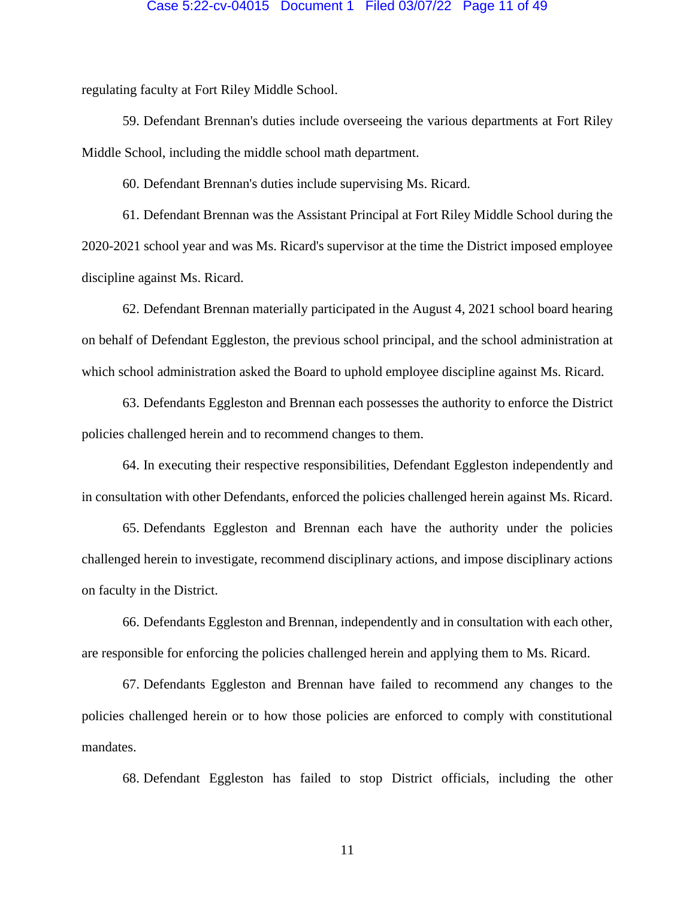#### Case 5:22-cv-04015 Document 1 Filed 03/07/22 Page 11 of 49

regulating faculty at Fort Riley Middle School.

59. Defendant Brennan's duties include overseeing the various departments at Fort Riley Middle School, including the middle school math department.

60. Defendant Brennan's duties include supervising Ms. Ricard.

61. Defendant Brennan was the Assistant Principal at Fort Riley Middle School during the 2020-2021 school year and was Ms. Ricard's supervisor at the time the District imposed employee discipline against Ms. Ricard.

62. Defendant Brennan materially participated in the August 4, 2021 school board hearing on behalf of Defendant Eggleston, the previous school principal, and the school administration at which school administration asked the Board to uphold employee discipline against Ms. Ricard.

63. Defendants Eggleston and Brennan each possesses the authority to enforce the District policies challenged herein and to recommend changes to them.

64. In executing their respective responsibilities, Defendant Eggleston independently and in consultation with other Defendants, enforced the policies challenged herein against Ms. Ricard.

65. Defendants Eggleston and Brennan each have the authority under the policies challenged herein to investigate, recommend disciplinary actions, and impose disciplinary actions on faculty in the District.

66. Defendants Eggleston and Brennan, independently and in consultation with each other, are responsible for enforcing the policies challenged herein and applying them to Ms. Ricard.

67. Defendants Eggleston and Brennan have failed to recommend any changes to the policies challenged herein or to how those policies are enforced to comply with constitutional mandates.

68. Defendant Eggleston has failed to stop District officials, including the other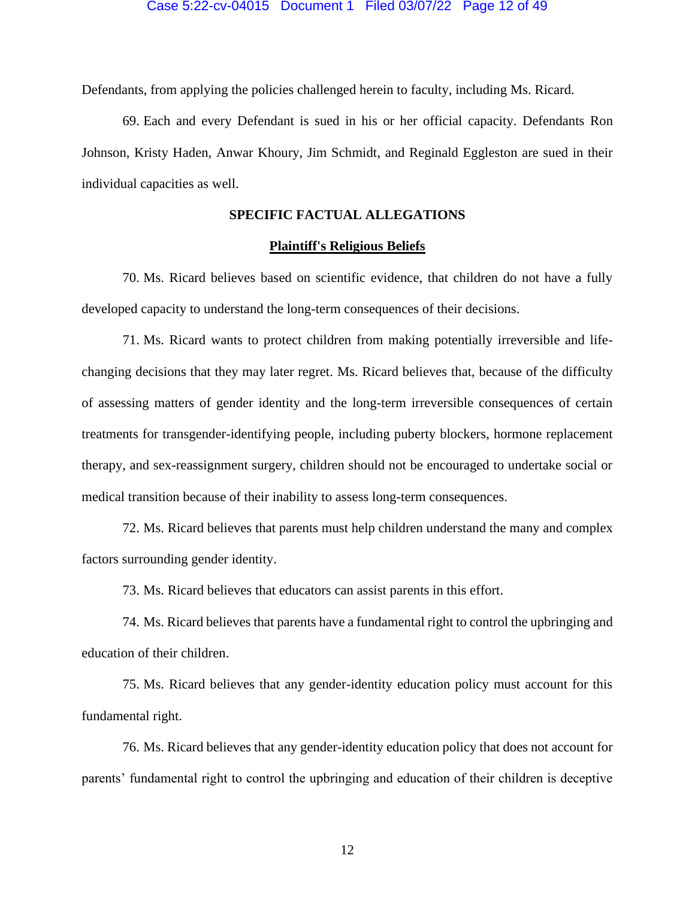Defendants, from applying the policies challenged herein to faculty, including Ms. Ricard.

69. Each and every Defendant is sued in his or her official capacity. Defendants Ron Johnson, Kristy Haden, Anwar Khoury, Jim Schmidt, and Reginald Eggleston are sued in their individual capacities as well.

## **SPECIFIC FACTUAL ALLEGATIONS**

## **Plaintiff's Religious Beliefs**

70. Ms. Ricard believes based on scientific evidence, that children do not have a fully developed capacity to understand the long-term consequences of their decisions.

71. Ms. Ricard wants to protect children from making potentially irreversible and lifechanging decisions that they may later regret. Ms. Ricard believes that, because of the difficulty of assessing matters of gender identity and the long-term irreversible consequences of certain treatments for transgender-identifying people, including puberty blockers, hormone replacement therapy, and sex-reassignment surgery, children should not be encouraged to undertake social or medical transition because of their inability to assess long-term consequences.

72. Ms. Ricard believes that parents must help children understand the many and complex factors surrounding gender identity.

73. Ms. Ricard believes that educators can assist parents in this effort.

74. Ms. Ricard believes that parents have a fundamental right to control the upbringing and education of their children.

75. Ms. Ricard believes that any gender-identity education policy must account for this fundamental right.

76. Ms. Ricard believes that any gender-identity education policy that does not account for parents' fundamental right to control the upbringing and education of their children is deceptive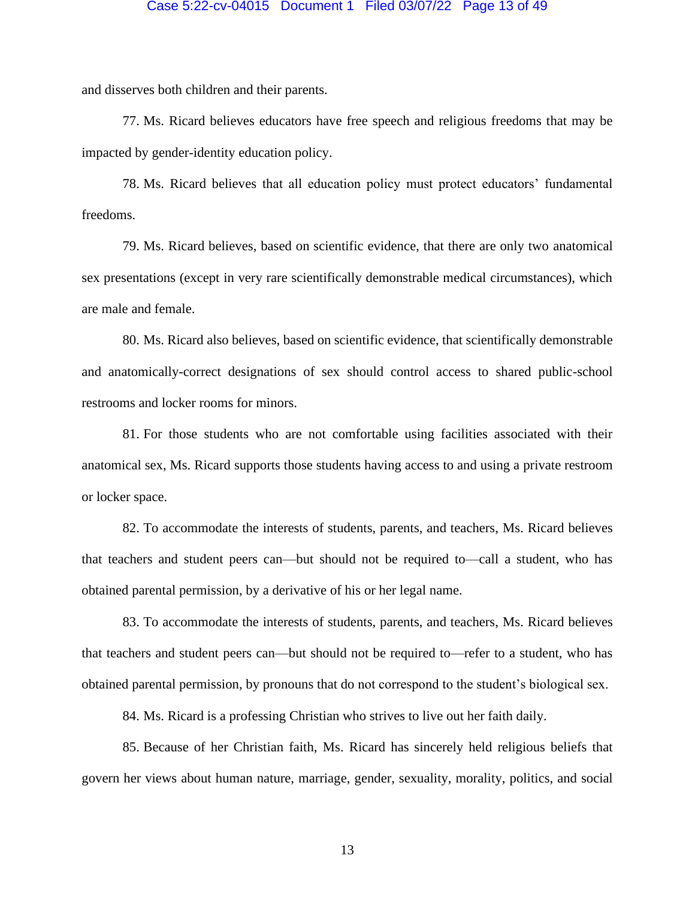## Case 5:22-cv-04015 Document 1 Filed 03/07/22 Page 13 of 49

and disserves both children and their parents.

77. Ms. Ricard believes educators have free speech and religious freedoms that may be impacted by gender-identity education policy.

78. Ms. Ricard believes that all education policy must protect educators' fundamental freedoms.

79. Ms. Ricard believes, based on scientific evidence, that there are only two anatomical sex presentations (except in very rare scientifically demonstrable medical circumstances), which are male and female.

80. Ms. Ricard also believes, based on scientific evidence, that scientifically demonstrable and anatomically-correct designations of sex should control access to shared public-school restrooms and locker rooms for minors.

81. For those students who are not comfortable using facilities associated with their anatomical sex, Ms. Ricard supports those students having access to and using a private restroom or locker space.

82. To accommodate the interests of students, parents, and teachers, Ms. Ricard believes that teachers and student peers can—but should not be required to—call a student, who has obtained parental permission, by a derivative of his or her legal name.

83. To accommodate the interests of students, parents, and teachers, Ms. Ricard believes that teachers and student peers can—but should not be required to—refer to a student, who has obtained parental permission, by pronouns that do not correspond to the student's biological sex.

84. Ms. Ricard is a professing Christian who strives to live out her faith daily.

85. Because of her Christian faith, Ms. Ricard has sincerely held religious beliefs that govern her views about human nature, marriage, gender, sexuality, morality, politics, and social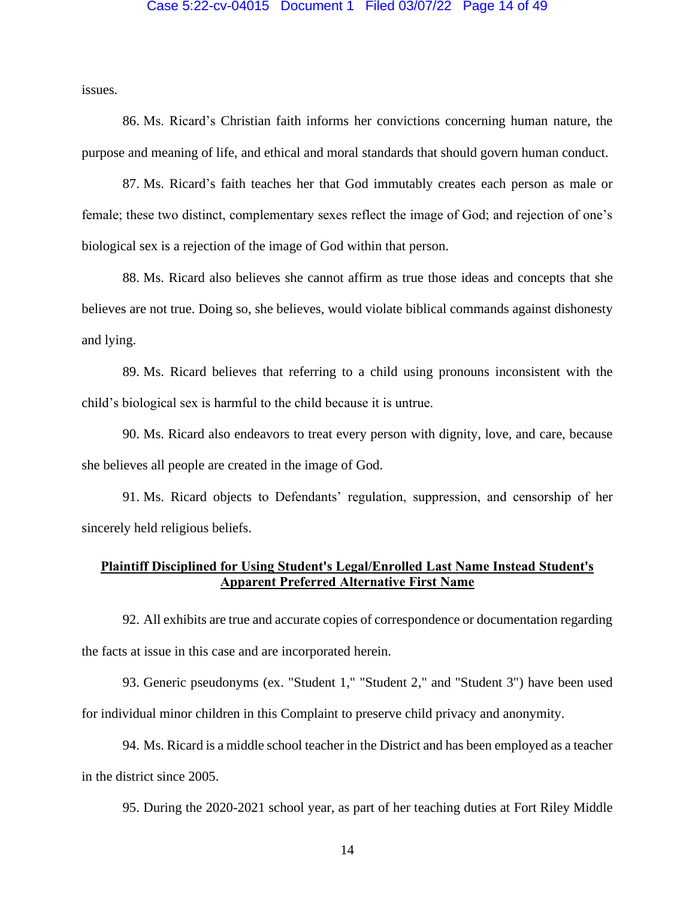#### Case 5:22-cv-04015 Document 1 Filed 03/07/22 Page 14 of 49

issues.

86. Ms. Ricard's Christian faith informs her convictions concerning human nature, the purpose and meaning of life, and ethical and moral standards that should govern human conduct.

87. Ms. Ricard's faith teaches her that God immutably creates each person as male or female; these two distinct, complementary sexes reflect the image of God; and rejection of one's biological sex is a rejection of the image of God within that person.

88. Ms. Ricard also believes she cannot affirm as true those ideas and concepts that she believes are not true. Doing so, she believes, would violate biblical commands against dishonesty and lying.

89. Ms. Ricard believes that referring to a child using pronouns inconsistent with the child's biological sex is harmful to the child because it is untrue.

90. Ms. Ricard also endeavors to treat every person with dignity, love, and care, because she believes all people are created in the image of God.

91. Ms. Ricard objects to Defendants' regulation, suppression, and censorship of her sincerely held religious beliefs.

## **Plaintiff Disciplined for Using Student's Legal/Enrolled Last Name Instead Student's Apparent Preferred Alternative First Name**

92. All exhibits are true and accurate copies of correspondence or documentation regarding the facts at issue in this case and are incorporated herein.

93. Generic pseudonyms (ex. "Student 1," "Student 2," and "Student 3") have been used for individual minor children in this Complaint to preserve child privacy and anonymity.

94. Ms. Ricard is a middle school teacher in the District and has been employed as a teacher in the district since 2005.

95. During the 2020-2021 school year, as part of her teaching duties at Fort Riley Middle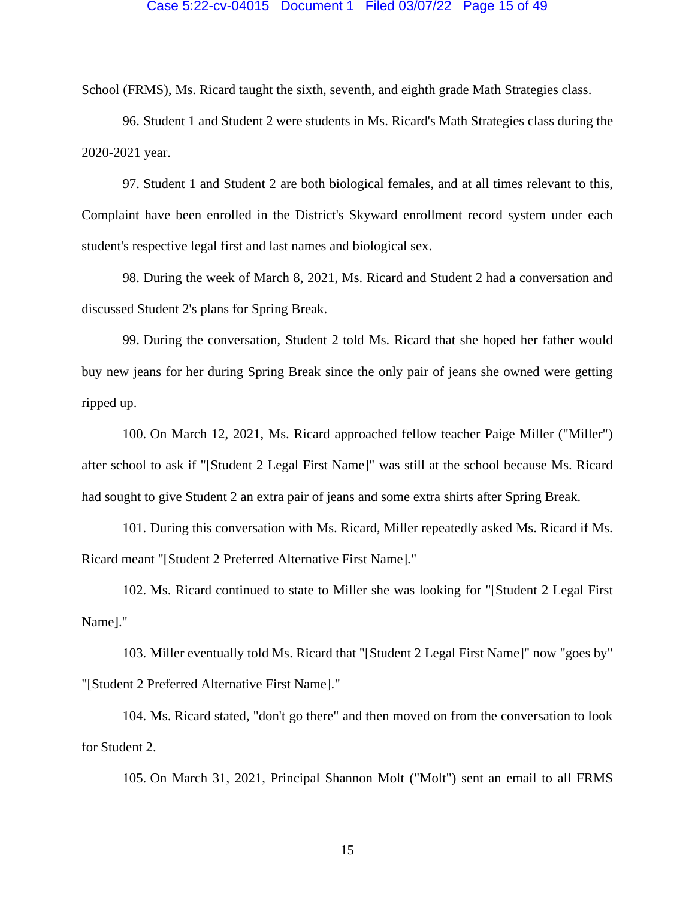#### Case 5:22-cv-04015 Document 1 Filed 03/07/22 Page 15 of 49

School (FRMS), Ms. Ricard taught the sixth, seventh, and eighth grade Math Strategies class.

96. Student 1 and Student 2 were students in Ms. Ricard's Math Strategies class during the 2020-2021 year.

97. Student 1 and Student 2 are both biological females, and at all times relevant to this, Complaint have been enrolled in the District's Skyward enrollment record system under each student's respective legal first and last names and biological sex.

98. During the week of March 8, 2021, Ms. Ricard and Student 2 had a conversation and discussed Student 2's plans for Spring Break.

99. During the conversation, Student 2 told Ms. Ricard that she hoped her father would buy new jeans for her during Spring Break since the only pair of jeans she owned were getting ripped up.

100. On March 12, 2021, Ms. Ricard approached fellow teacher Paige Miller ("Miller") after school to ask if "[Student 2 Legal First Name]" was still at the school because Ms. Ricard had sought to give Student 2 an extra pair of jeans and some extra shirts after Spring Break.

101. During this conversation with Ms. Ricard, Miller repeatedly asked Ms. Ricard if Ms. Ricard meant "[Student 2 Preferred Alternative First Name]."

102. Ms. Ricard continued to state to Miller she was looking for "[Student 2 Legal First Name]."

103. Miller eventually told Ms. Ricard that "[Student 2 Legal First Name]" now "goes by" "[Student 2 Preferred Alternative First Name]."

104. Ms. Ricard stated, "don't go there" and then moved on from the conversation to look for Student 2.

105. On March 31, 2021, Principal Shannon Molt ("Molt") sent an email to all FRMS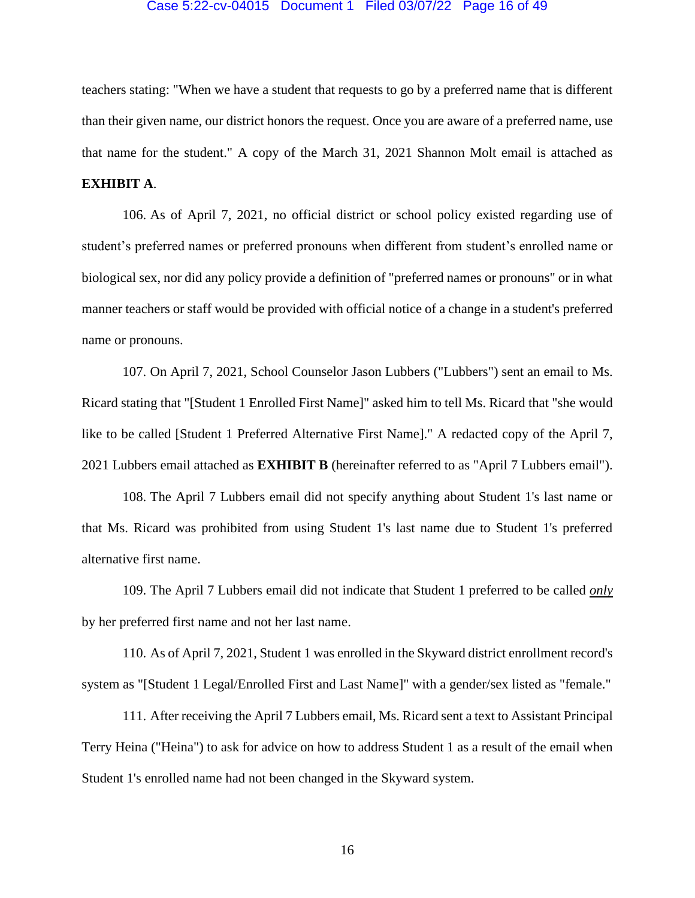## Case 5:22-cv-04015 Document 1 Filed 03/07/22 Page 16 of 49

teachers stating: "When we have a student that requests to go by a preferred name that is different than their given name, our district honors the request. Once you are aware of a preferred name, use that name for the student." A copy of the March 31, 2021 Shannon Molt email is attached as **EXHIBIT A**.

106. As of April 7, 2021, no official district or school policy existed regarding use of student's preferred names or preferred pronouns when different from student's enrolled name or biological sex, nor did any policy provide a definition of "preferred names or pronouns" or in what manner teachers or staff would be provided with official notice of a change in a student's preferred name or pronouns.

107. On April 7, 2021, School Counselor Jason Lubbers ("Lubbers") sent an email to Ms. Ricard stating that "[Student 1 Enrolled First Name]" asked him to tell Ms. Ricard that "she would like to be called [Student 1 Preferred Alternative First Name]." A redacted copy of the April 7, 2021 Lubbers email attached as **EXHIBIT B** (hereinafter referred to as "April 7 Lubbers email").

108. The April 7 Lubbers email did not specify anything about Student 1's last name or that Ms. Ricard was prohibited from using Student 1's last name due to Student 1's preferred alternative first name.

109. The April 7 Lubbers email did not indicate that Student 1 preferred to be called *only* by her preferred first name and not her last name.

110. As of April 7, 2021, Student 1 was enrolled in the Skyward district enrollment record's system as "[Student 1 Legal/Enrolled First and Last Name]" with a gender/sex listed as "female."

111. After receiving the April 7 Lubbers email, Ms. Ricard sent a text to Assistant Principal Terry Heina ("Heina") to ask for advice on how to address Student 1 as a result of the email when Student 1's enrolled name had not been changed in the Skyward system.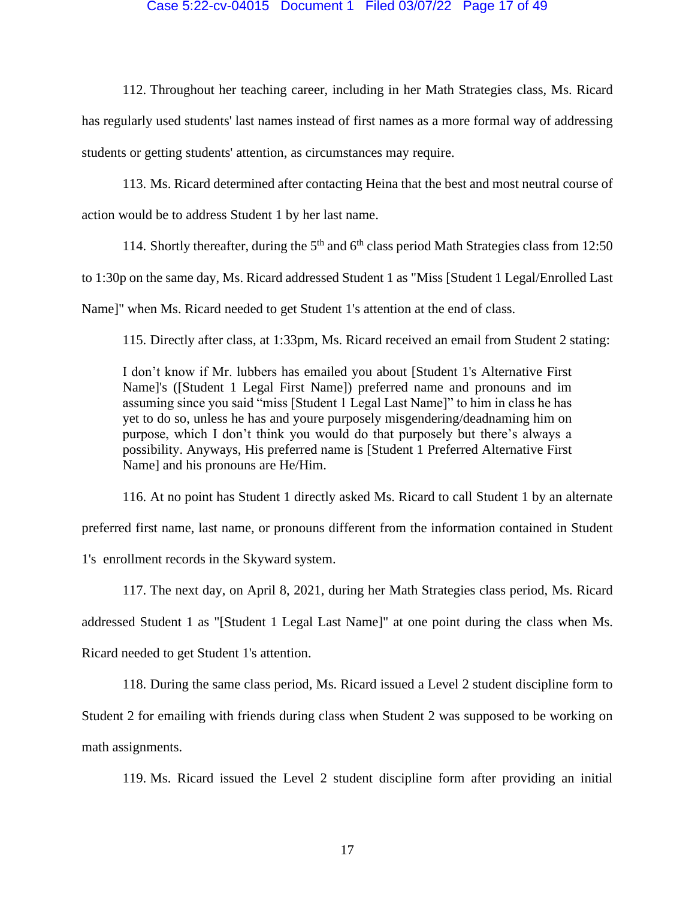## Case 5:22-cv-04015 Document 1 Filed 03/07/22 Page 17 of 49

112. Throughout her teaching career, including in her Math Strategies class, Ms. Ricard has regularly used students' last names instead of first names as a more formal way of addressing students or getting students' attention, as circumstances may require.

113. Ms. Ricard determined after contacting Heina that the best and most neutral course of action would be to address Student 1 by her last name.

114. Shortly thereafter, during the 5<sup>th</sup> and 6<sup>th</sup> class period Math Strategies class from 12:50

to 1:30p on the same day, Ms. Ricard addressed Student 1 as "Miss [Student 1 Legal/Enrolled Last

Name]" when Ms. Ricard needed to get Student 1's attention at the end of class.

115. Directly after class, at 1:33pm, Ms. Ricard received an email from Student 2 stating:

I don't know if Mr. lubbers has emailed you about [Student 1's Alternative First Name]'s ([Student 1 Legal First Name]) preferred name and pronouns and im assuming since you said "miss [Student 1 Legal Last Name]" to him in class he has yet to do so, unless he has and youre purposely misgendering/deadnaming him on purpose, which I don't think you would do that purposely but there's always a possibility. Anyways, His preferred name is [Student 1 Preferred Alternative First Name] and his pronouns are He/Him.

116. At no point has Student 1 directly asked Ms. Ricard to call Student 1 by an alternate

preferred first name, last name, or pronouns different from the information contained in Student

1's enrollment records in the Skyward system.

117. The next day, on April 8, 2021, during her Math Strategies class period, Ms. Ricard addressed Student 1 as "[Student 1 Legal Last Name]" at one point during the class when Ms. Ricard needed to get Student 1's attention.

118. During the same class period, Ms. Ricard issued a Level 2 student discipline form to Student 2 for emailing with friends during class when Student 2 was supposed to be working on math assignments.

119. Ms. Ricard issued the Level 2 student discipline form after providing an initial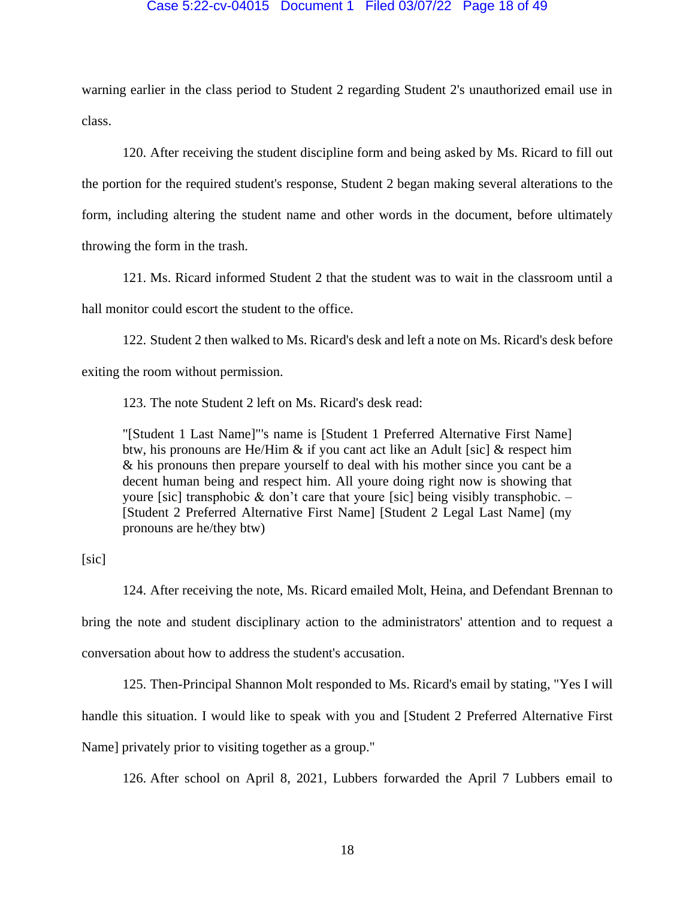#### Case 5:22-cv-04015 Document 1 Filed 03/07/22 Page 18 of 49

warning earlier in the class period to Student 2 regarding Student 2's unauthorized email use in class.

120. After receiving the student discipline form and being asked by Ms. Ricard to fill out the portion for the required student's response, Student 2 began making several alterations to the form, including altering the student name and other words in the document, before ultimately throwing the form in the trash.

121. Ms. Ricard informed Student 2 that the student was to wait in the classroom until a hall monitor could escort the student to the office.

122. Student 2 then walked to Ms. Ricard's desk and left a note on Ms. Ricard's desk before exiting the room without permission.

123. The note Student 2 left on Ms. Ricard's desk read:

"[Student 1 Last Name]"'s name is [Student 1 Preferred Alternative First Name] btw, his pronouns are He/Him & if you cant act like an Adult [sic] & respect him & his pronouns then prepare yourself to deal with his mother since you cant be a decent human being and respect him. All youre doing right now is showing that youre [sic] transphobic  $\&$  don't care that youre [sic] being visibly transphobic.  $-$ [Student 2 Preferred Alternative First Name] [Student 2 Legal Last Name] (my pronouns are he/they btw)

[sic]

124. After receiving the note, Ms. Ricard emailed Molt, Heina, and Defendant Brennan to bring the note and student disciplinary action to the administrators' attention and to request a conversation about how to address the student's accusation.

125. Then-Principal Shannon Molt responded to Ms. Ricard's email by stating, "Yes I will handle this situation. I would like to speak with you and [Student 2 Preferred Alternative First Name] privately prior to visiting together as a group."

126. After school on April 8, 2021, Lubbers forwarded the April 7 Lubbers email to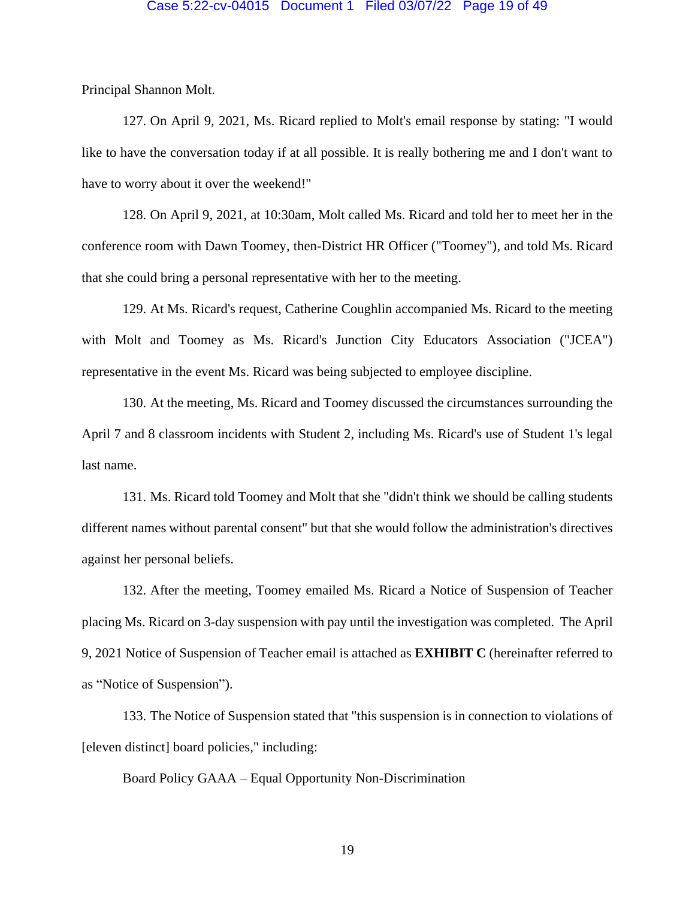## Case 5:22-cv-04015 Document 1 Filed 03/07/22 Page 19 of 49

Principal Shannon Molt.

127. On April 9, 2021, Ms. Ricard replied to Molt's email response by stating: "I would like to have the conversation today if at all possible. It is really bothering me and I don't want to have to worry about it over the weekend!"

128. On April 9, 2021, at 10:30am, Molt called Ms. Ricard and told her to meet her in the conference room with Dawn Toomey, then-District HR Officer ("Toomey"), and told Ms. Ricard that she could bring a personal representative with her to the meeting.

129. At Ms. Ricard's request, Catherine Coughlin accompanied Ms. Ricard to the meeting with Molt and Toomey as Ms. Ricard's Junction City Educators Association ("JCEA") representative in the event Ms. Ricard was being subjected to employee discipline.

130. At the meeting, Ms. Ricard and Toomey discussed the circumstances surrounding the April 7 and 8 classroom incidents with Student 2, including Ms. Ricard's use of Student 1's legal last name.

131. Ms. Ricard told Toomey and Molt that she "didn't think we should be calling students different names without parental consent" but that she would follow the administration's directives against her personal beliefs.

132. After the meeting, Toomey emailed Ms. Ricard a Notice of Suspension of Teacher placing Ms. Ricard on 3-day suspension with pay until the investigation was completed. The April 9, 2021 Notice of Suspension of Teacher email is attached as **EXHIBIT C** (hereinafter referred to as "Notice of Suspension").

133. The Notice of Suspension stated that "this suspension is in connection to violations of [eleven distinct] board policies," including:

Board Policy GAAA – Equal Opportunity Non-Discrimination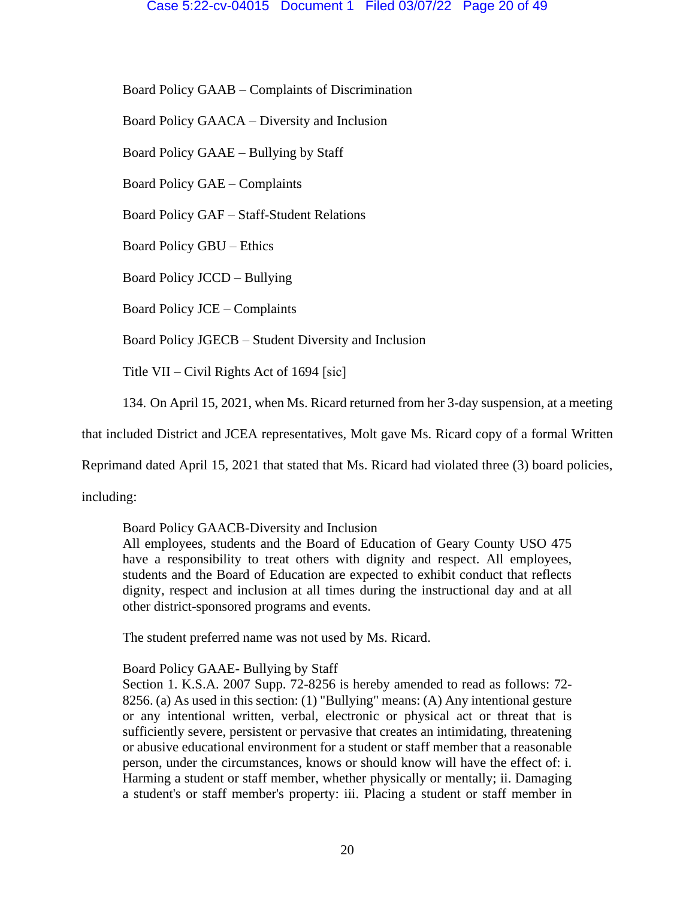Board Policy GAAB – Complaints of Discrimination

Board Policy GAACA – Diversity and Inclusion

Board Policy GAAE – Bullying by Staff

Board Policy GAE – Complaints

Board Policy GAF – Staff-Student Relations

Board Policy GBU – Ethics

Board Policy JCCD – Bullying

Board Policy JCE – Complaints

Board Policy JGECB – Student Diversity and Inclusion

Title VII – Civil Rights Act of 1694 [sic]

134. On April 15, 2021, when Ms. Ricard returned from her 3-day suspension, at a meeting

that included District and JCEA representatives, Molt gave Ms. Ricard copy of a formal Written

Reprimand dated April 15, 2021 that stated that Ms. Ricard had violated three (3) board policies,

including:

## Board Policy GAACB-Diversity and Inclusion

All employees, students and the Board of Education of Geary County USO 475 have a responsibility to treat others with dignity and respect. All employees, students and the Board of Education are expected to exhibit conduct that reflects dignity, respect and inclusion at all times during the instructional day and at all other district-sponsored programs and events.

The student preferred name was not used by Ms. Ricard.

## Board Policy GAAE- Bullying by Staff

Section 1. K.S.A. 2007 Supp. 72-8256 is hereby amended to read as follows: 72- 8256. (a) As used in this section: (1) "Bullying" means: (A) Any intentional gesture or any intentional written, verbal, electronic or physical act or threat that is sufficiently severe, persistent or pervasive that creates an intimidating, threatening or abusive educational environment for a student or staff member that a reasonable person, under the circumstances, knows or should know will have the effect of: i. Harming a student or staff member, whether physically or mentally; ii. Damaging a student's or staff member's property: iii. Placing a student or staff member in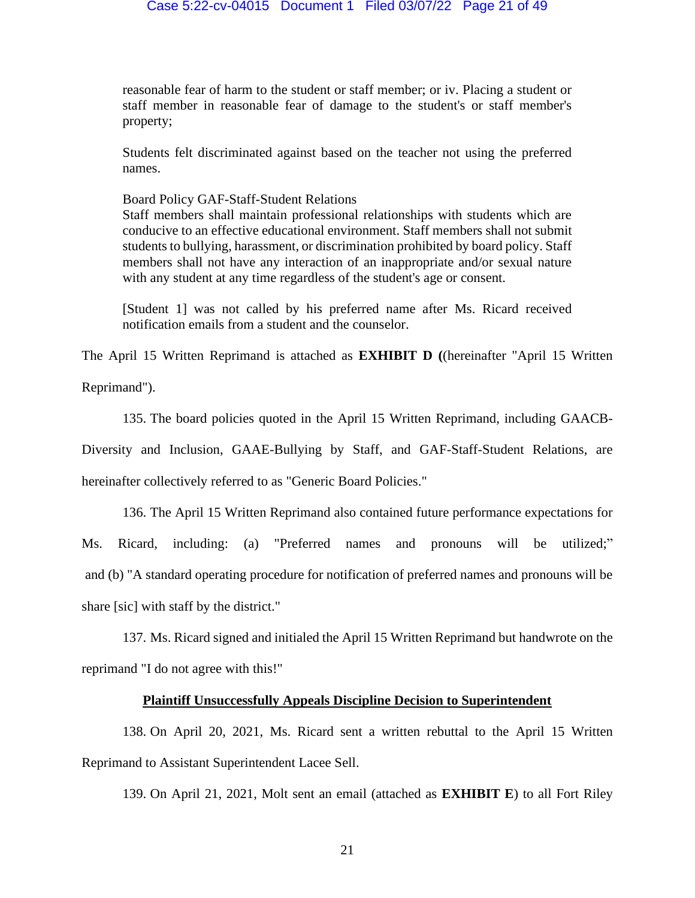#### Case 5:22-cv-04015 Document 1 Filed 03/07/22 Page 21 of 49

reasonable fear of harm to the student or staff member; or iv. Placing a student or staff member in reasonable fear of damage to the student's or staff member's property;

Students felt discriminated against based on the teacher not using the preferred names.

Board Policy GAF-Staff-Student Relations

Staff members shall maintain professional relationships with students which are conducive to an effective educational environment. Staff members shall not submit students to bullying, harassment, or discrimination prohibited by board policy. Staff members shall not have any interaction of an inappropriate and/or sexual nature with any student at any time regardless of the student's age or consent.

[Student 1] was not called by his preferred name after Ms. Ricard received notification emails from a student and the counselor.

The April 15 Written Reprimand is attached as **EXHIBIT D (**(hereinafter "April 15 Written

Reprimand").

135. The board policies quoted in the April 15 Written Reprimand, including GAACB-

Diversity and Inclusion, GAAE-Bullying by Staff, and GAF-Staff-Student Relations, are

hereinafter collectively referred to as "Generic Board Policies."

136. The April 15 Written Reprimand also contained future performance expectations for

Ms. Ricard, including: (a) "Preferred names and pronouns will be utilized;" and (b) "A standard operating procedure for notification of preferred names and pronouns will be share [sic] with staff by the district."

137. Ms. Ricard signed and initialed the April 15 Written Reprimand but handwrote on the reprimand "I do not agree with this!"

## **Plaintiff Unsuccessfully Appeals Discipline Decision to Superintendent**

138. On April 20, 2021, Ms. Ricard sent a written rebuttal to the April 15 Written Reprimand to Assistant Superintendent Lacee Sell.

139. On April 21, 2021, Molt sent an email (attached as **EXHIBIT E**) to all Fort Riley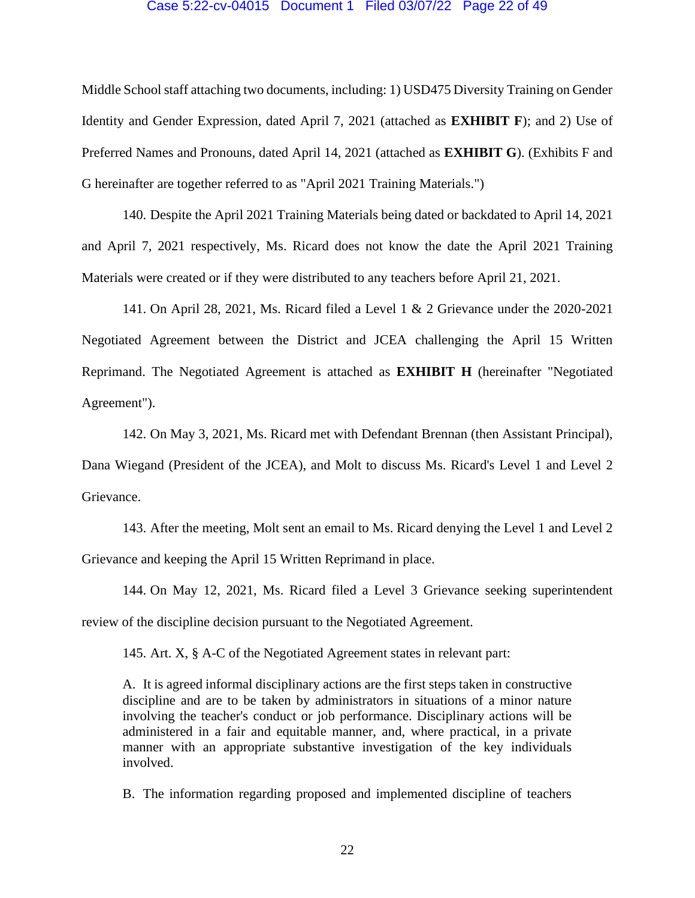## Case 5:22-cv-04015 Document 1 Filed 03/07/22 Page 22 of 49

Middle School staff attaching two documents, including: 1) USD475 Diversity Training on Gender Identity and Gender Expression, dated April 7, 2021 (attached as **EXHIBIT F**); and 2) Use of Preferred Names and Pronouns, dated April 14, 2021 (attached as **EXHIBIT G**). (Exhibits F and G hereinafter are together referred to as "April 2021 Training Materials.")

140. Despite the April 2021 Training Materials being dated or backdated to April 14, 2021 and April 7, 2021 respectively, Ms. Ricard does not know the date the April 2021 Training Materials were created or if they were distributed to any teachers before April 21, 2021.

141. On April 28, 2021, Ms. Ricard filed a Level 1 & 2 Grievance under the 2020-2021 Negotiated Agreement between the District and JCEA challenging the April 15 Written Reprimand. The Negotiated Agreement is attached as **EXHIBIT H** (hereinafter "Negotiated Agreement").

142. On May 3, 2021, Ms. Ricard met with Defendant Brennan (then Assistant Principal), Dana Wiegand (President of the JCEA), and Molt to discuss Ms. Ricard's Level 1 and Level 2 Grievance.

143. After the meeting, Molt sent an email to Ms. Ricard denying the Level 1 and Level 2 Grievance and keeping the April 15 Written Reprimand in place.

144. On May 12, 2021, Ms. Ricard filed a Level 3 Grievance seeking superintendent review of the discipline decision pursuant to the Negotiated Agreement.

145. Art. X, § A-C of the Negotiated Agreement states in relevant part:

A. It is agreed informal disciplinary actions are the first steps taken in constructive discipline and are to be taken by administrators in situations of a minor nature involving the teacher's conduct or job performance. Disciplinary actions will be administered in a fair and equitable manner, and, where practical, in a private manner with an appropriate substantive investigation of the key individuals involved.

B. The information regarding proposed and implemented discipline of teachers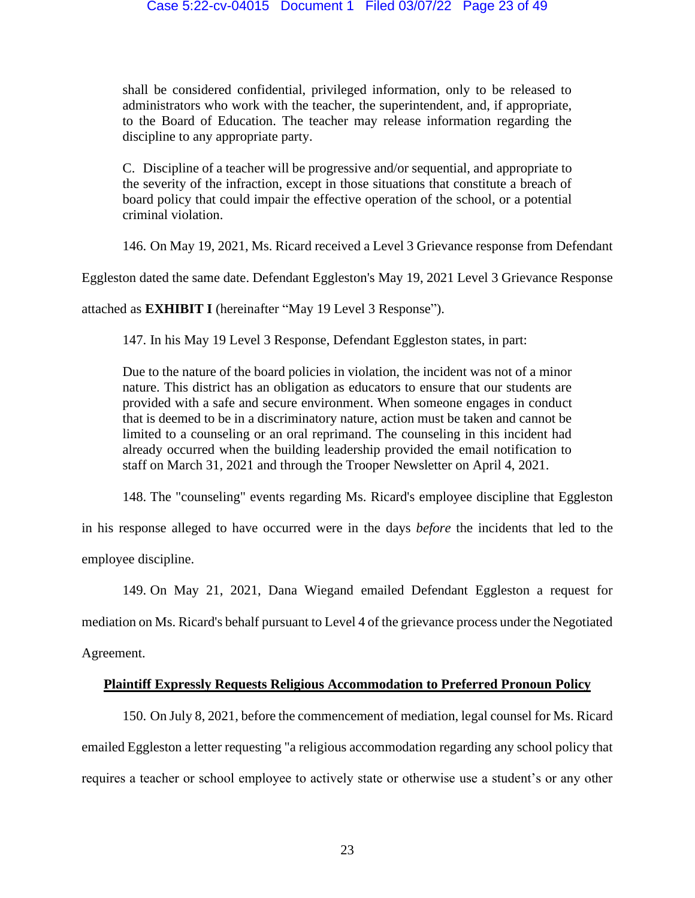shall be considered confidential, privileged information, only to be released to administrators who work with the teacher, the superintendent, and, if appropriate, to the Board of Education. The teacher may release information regarding the discipline to any appropriate party.

C. Discipline of a teacher will be progressive and/or sequential, and appropriate to the severity of the infraction, except in those situations that constitute a breach of board policy that could impair the effective operation of the school, or a potential criminal violation.

146. On May 19, 2021, Ms. Ricard received a Level 3 Grievance response from Defendant

Eggleston dated the same date. Defendant Eggleston's May 19, 2021 Level 3 Grievance Response

attached as **EXHIBIT I** (hereinafter "May 19 Level 3 Response").

147. In his May 19 Level 3 Response, Defendant Eggleston states, in part:

Due to the nature of the board policies in violation, the incident was not of a minor nature. This district has an obligation as educators to ensure that our students are provided with a safe and secure environment. When someone engages in conduct that is deemed to be in a discriminatory nature, action must be taken and cannot be limited to a counseling or an oral reprimand. The counseling in this incident had already occurred when the building leadership provided the email notification to staff on March 31, 2021 and through the Trooper Newsletter on April 4, 2021.

148. The "counseling" events regarding Ms. Ricard's employee discipline that Eggleston

in his response alleged to have occurred were in the days *before* the incidents that led to the employee discipline.

149. On May 21, 2021, Dana Wiegand emailed Defendant Eggleston a request for mediation on Ms. Ricard's behalf pursuant to Level 4 of the grievance process under the Negotiated

Agreement.

## **Plaintiff Expressly Requests Religious Accommodation to Preferred Pronoun Policy**

150. On July 8, 2021, before the commencement of mediation, legal counsel for Ms. Ricard emailed Eggleston a letter requesting "a religious accommodation regarding any school policy that requires a teacher or school employee to actively state or otherwise use a student's or any other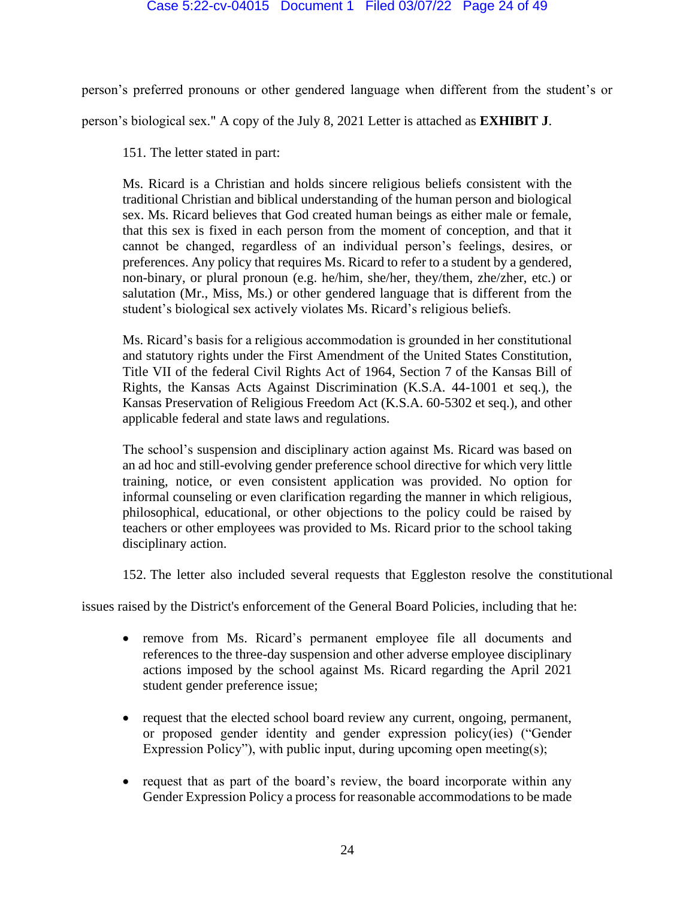person's preferred pronouns or other gendered language when different from the student's or

person's biological sex." A copy of the July 8, 2021 Letter is attached as **EXHIBIT J**.

151. The letter stated in part:

Ms. Ricard is a Christian and holds sincere religious beliefs consistent with the traditional Christian and biblical understanding of the human person and biological sex. Ms. Ricard believes that God created human beings as either male or female, that this sex is fixed in each person from the moment of conception, and that it cannot be changed, regardless of an individual person's feelings, desires, or preferences. Any policy that requires Ms. Ricard to refer to a student by a gendered, non-binary, or plural pronoun (e.g. he/him, she/her, they/them, zhe/zher, etc.) or salutation (Mr., Miss, Ms.) or other gendered language that is different from the student's biological sex actively violates Ms. Ricard's religious beliefs.

Ms. Ricard's basis for a religious accommodation is grounded in her constitutional and statutory rights under the First Amendment of the United States Constitution, Title VII of the federal Civil Rights Act of 1964, Section 7 of the Kansas Bill of Rights, the Kansas Acts Against Discrimination (K.S.A. 44-1001 et seq.), the Kansas Preservation of Religious Freedom Act (K.S.A. 60-5302 et seq.), and other applicable federal and state laws and regulations.

The school's suspension and disciplinary action against Ms. Ricard was based on an ad hoc and still-evolving gender preference school directive for which very little training, notice, or even consistent application was provided. No option for informal counseling or even clarification regarding the manner in which religious, philosophical, educational, or other objections to the policy could be raised by teachers or other employees was provided to Ms. Ricard prior to the school taking disciplinary action.

152. The letter also included several requests that Eggleston resolve the constitutional

issues raised by the District's enforcement of the General Board Policies*,* including that he:

- remove from Ms. Ricard's permanent employee file all documents and references to the three-day suspension and other adverse employee disciplinary actions imposed by the school against Ms. Ricard regarding the April 2021 student gender preference issue;
- request that the elected school board review any current, ongoing, permanent, or proposed gender identity and gender expression policy(ies) ("Gender Expression Policy"), with public input, during upcoming open meeting(s);
- request that as part of the board's review, the board incorporate within any Gender Expression Policy a process for reasonable accommodations to be made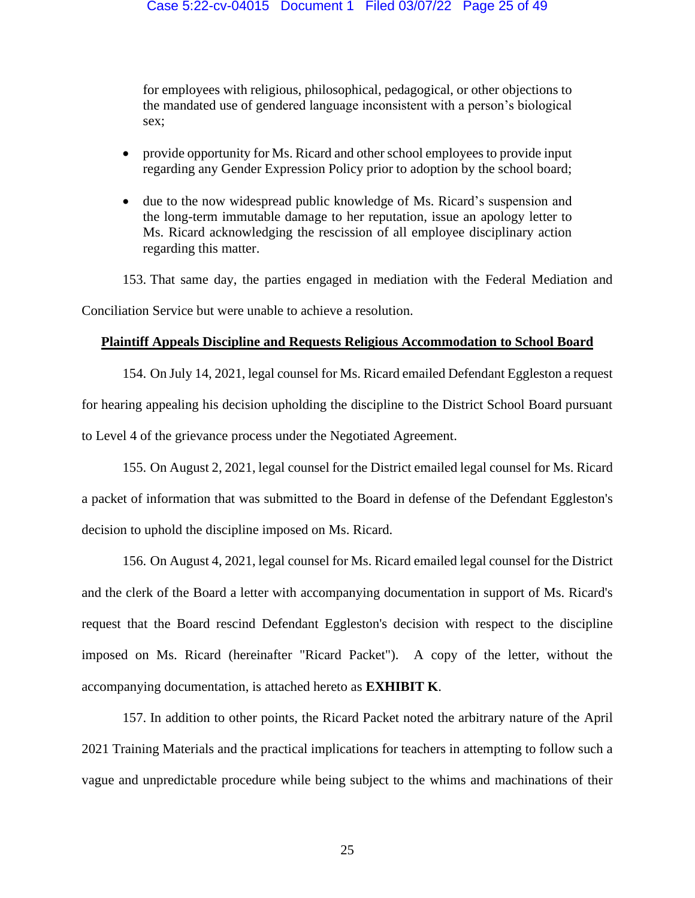for employees with religious, philosophical, pedagogical, or other objections to the mandated use of gendered language inconsistent with a person's biological sex;

- provide opportunity for Ms. Ricard and other school employees to provide input regarding any Gender Expression Policy prior to adoption by the school board;
- due to the now widespread public knowledge of Ms. Ricard's suspension and the long-term immutable damage to her reputation, issue an apology letter to Ms. Ricard acknowledging the rescission of all employee disciplinary action regarding this matter.

153. That same day, the parties engaged in mediation with the Federal Mediation and Conciliation Service but were unable to achieve a resolution.

## **Plaintiff Appeals Discipline and Requests Religious Accommodation to School Board**

154. On July 14, 2021, legal counsel for Ms. Ricard emailed Defendant Eggleston a request for hearing appealing his decision upholding the discipline to the District School Board pursuant to Level 4 of the grievance process under the Negotiated Agreement.

155. On August 2, 2021, legal counsel for the District emailed legal counsel for Ms. Ricard a packet of information that was submitted to the Board in defense of the Defendant Eggleston's decision to uphold the discipline imposed on Ms. Ricard.

156. On August 4, 2021, legal counsel for Ms. Ricard emailed legal counsel for the District and the clerk of the Board a letter with accompanying documentation in support of Ms. Ricard's request that the Board rescind Defendant Eggleston's decision with respect to the discipline imposed on Ms. Ricard (hereinafter "Ricard Packet"). A copy of the letter, without the accompanying documentation, is attached hereto as **EXHIBIT K**.

157. In addition to other points, the Ricard Packet noted the arbitrary nature of the April 2021 Training Materials and the practical implications for teachers in attempting to follow such a vague and unpredictable procedure while being subject to the whims and machinations of their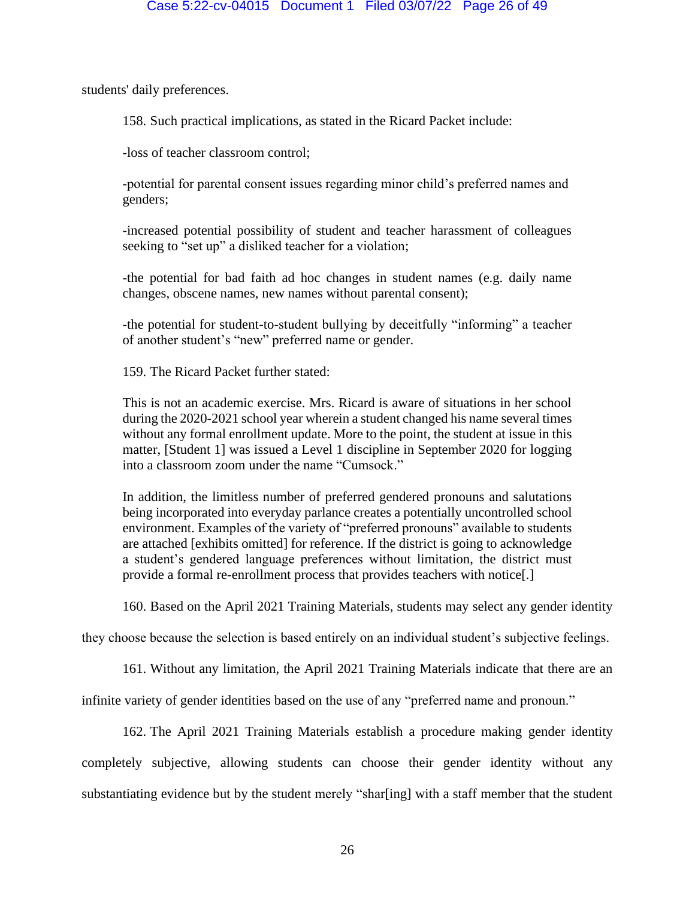students' daily preferences.

158. Such practical implications, as stated in the Ricard Packet include:

-loss of teacher classroom control;

-potential for parental consent issues regarding minor child's preferred names and genders;

-increased potential possibility of student and teacher harassment of colleagues seeking to "set up" a disliked teacher for a violation;

-the potential for bad faith ad hoc changes in student names (e.g. daily name changes, obscene names, new names without parental consent);

-the potential for student-to-student bullying by deceitfully "informing" a teacher of another student's "new" preferred name or gender.

159. The Ricard Packet further stated:

This is not an academic exercise. Mrs. Ricard is aware of situations in her school during the 2020-2021 school year wherein a student changed his name several times without any formal enrollment update. More to the point, the student at issue in this matter, [Student 1] was issued a Level 1 discipline in September 2020 for logging into a classroom zoom under the name "Cumsock."

In addition, the limitless number of preferred gendered pronouns and salutations being incorporated into everyday parlance creates a potentially uncontrolled school environment. Examples of the variety of "preferred pronouns" available to students are attached [exhibits omitted] for reference. If the district is going to acknowledge a student's gendered language preferences without limitation, the district must provide a formal re-enrollment process that provides teachers with notice[.]

160. Based on the April 2021 Training Materials, students may select any gender identity

they choose because the selection is based entirely on an individual student's subjective feelings.

161. Without any limitation, the April 2021 Training Materials indicate that there are an

infinite variety of gender identities based on the use of any "preferred name and pronoun."

162. The April 2021 Training Materials establish a procedure making gender identity completely subjective, allowing students can choose their gender identity without any substantiating evidence but by the student merely "shar[ing] with a staff member that the student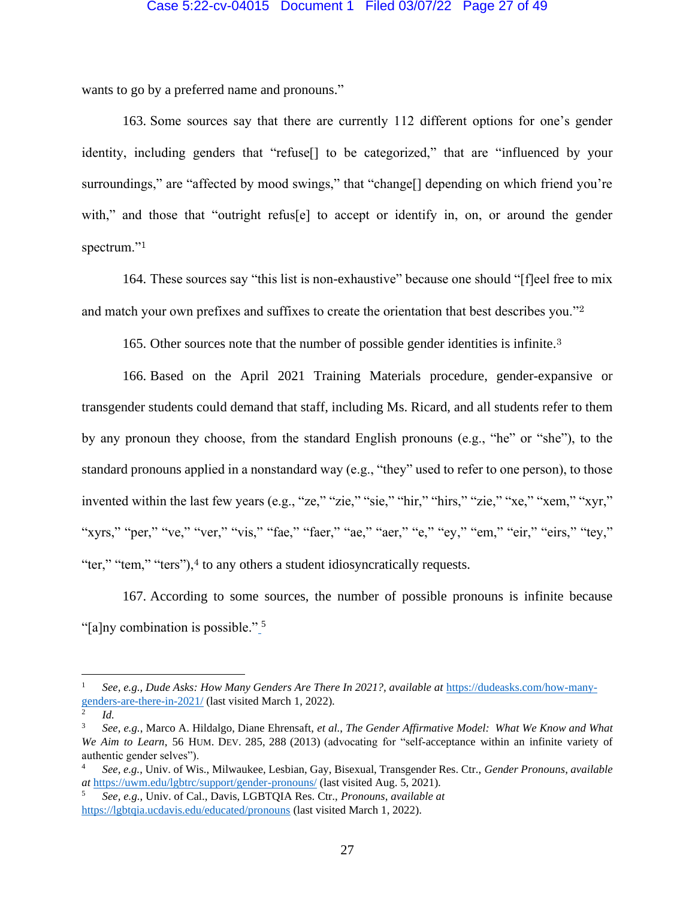#### Case 5:22-cv-04015 Document 1 Filed 03/07/22 Page 27 of 49

wants to go by a preferred name and pronouns."

163. Some sources say that there are currently 112 different options for one's gender identity, including genders that "refuse[] to be categorized," that are "influenced by your surroundings," are "affected by mood swings," that "change<sup>[]</sup> depending on which friend you're with," and those that "outright refus[e] to accept or identify in, on, or around the gender spectrum."<sup>1</sup>

164. These sources say "this list is non-exhaustive" because one should "[f]eel free to mix and match your own prefixes and suffixes to create the orientation that best describes you."<sup>2</sup>

165. Other sources note that the number of possible gender identities is infinite.<sup>3</sup>

166. Based on the April 2021 Training Materials procedure, gender-expansive or transgender students could demand that staff, including Ms. Ricard, and all students refer to them by any pronoun they choose, from the standard English pronouns (e.g., "he" or "she"), to the standard pronouns applied in a nonstandard way (e.g., "they" used to refer to one person), to those invented within the last few years (e.g., "ze," "zie," "sie," "hir," "hirs," "zie," "xe," "xem," "xyr," "xyrs," "per," "ve," "ver," "vis," "fae," "faer," "ae," "aer," "e," "ey," "em," "eir," "eirs," "tey," "ter," "tem," "ters"),<sup>4</sup> to any others a student idiosyncratically requests.

167. According to some sources, the number of possible pronouns is infinite because "[a]ny combination is possible." <sup>5</sup>

<sup>1</sup> *See, e.g., Dude Asks: How Many Genders Are There In 2021?, available at* [https://dudeasks.com/how-many](https://dudeasks.com/how-many-genders-are-there-in-2021/)genders-are-there-in- $\frac{2021}{}$  (last visited March 1, 2022).

*Id.*

<sup>3</sup> *See, e.g.*, Marco A. Hildalgo, Diane Ehrensaft, *et al.*, *The Gender Affirmative Model: What We Know and What We Aim to Learn*, 56 HUM. DEV. 285, 288 (2013) (advocating for "self-acceptance within an infinite variety of authentic gender selves").

<sup>4</sup> *See, e.g.*, Univ. of Wis., Milwaukee, Lesbian, Gay, Bisexual, Transgender Res. Ctr., *Gender Pronouns*, *available at* <https://uwm.edu/lgbtrc/support/gender-pronouns/> (last visited Aug. 5, 2021).

<sup>5</sup> *See, e.g.*, Univ. of Cal., Davis, LGBTQIA Res. Ctr., *Pronouns*, *available at*  <https://lgbtqia.ucdavis.edu/educated/pronouns> (last visited March 1, 2022).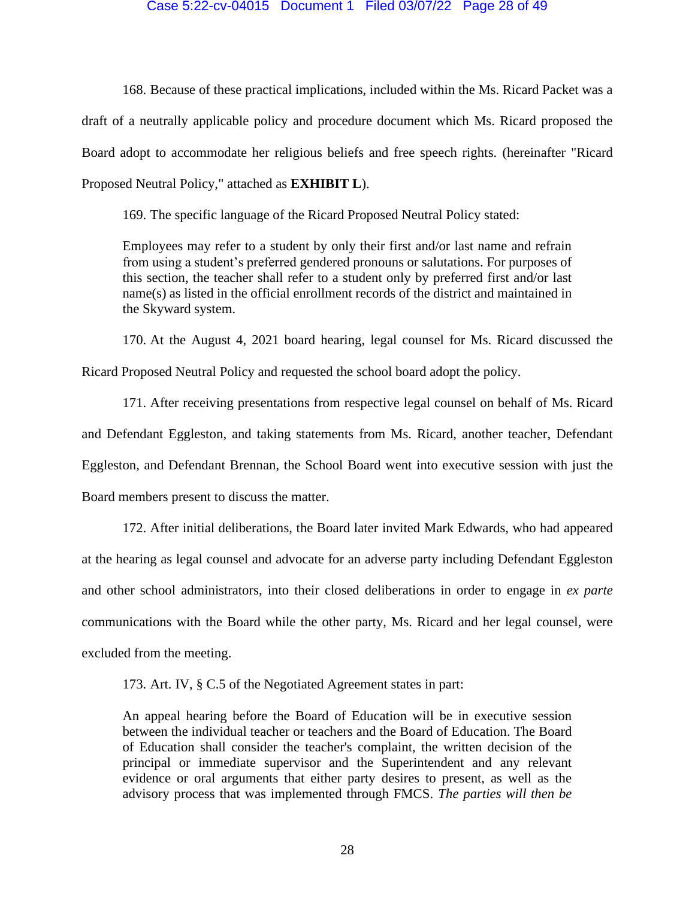#### Case 5:22-cv-04015 Document 1 Filed 03/07/22 Page 28 of 49

168. Because of these practical implications, included within the Ms. Ricard Packet was a draft of a neutrally applicable policy and procedure document which Ms. Ricard proposed the Board adopt to accommodate her religious beliefs and free speech rights. (hereinafter "Ricard Proposed Neutral Policy," attached as **EXHIBIT L**).

169. The specific language of the Ricard Proposed Neutral Policy stated:

Employees may refer to a student by only their first and/or last name and refrain from using a student's preferred gendered pronouns or salutations. For purposes of this section, the teacher shall refer to a student only by preferred first and/or last name(s) as listed in the official enrollment records of the district and maintained in the Skyward system.

170. At the August 4, 2021 board hearing, legal counsel for Ms. Ricard discussed the Ricard Proposed Neutral Policy and requested the school board adopt the policy.

171. After receiving presentations from respective legal counsel on behalf of Ms. Ricard and Defendant Eggleston, and taking statements from Ms. Ricard, another teacher, Defendant Eggleston, and Defendant Brennan, the School Board went into executive session with just the Board members present to discuss the matter.

172. After initial deliberations, the Board later invited Mark Edwards, who had appeared at the hearing as legal counsel and advocate for an adverse party including Defendant Eggleston and other school administrators, into their closed deliberations in order to engage in *ex parte*  communications with the Board while the other party, Ms. Ricard and her legal counsel, were excluded from the meeting.

173. Art. IV, § C.5 of the Negotiated Agreement states in part:

An appeal hearing before the Board of Education will be in executive session between the individual teacher or teachers and the Board of Education. The Board of Education shall consider the teacher's complaint, the written decision of the principal or immediate supervisor and the Superintendent and any relevant evidence or oral arguments that either party desires to present, as well as the advisory process that was implemented through FMCS. *The parties will then be*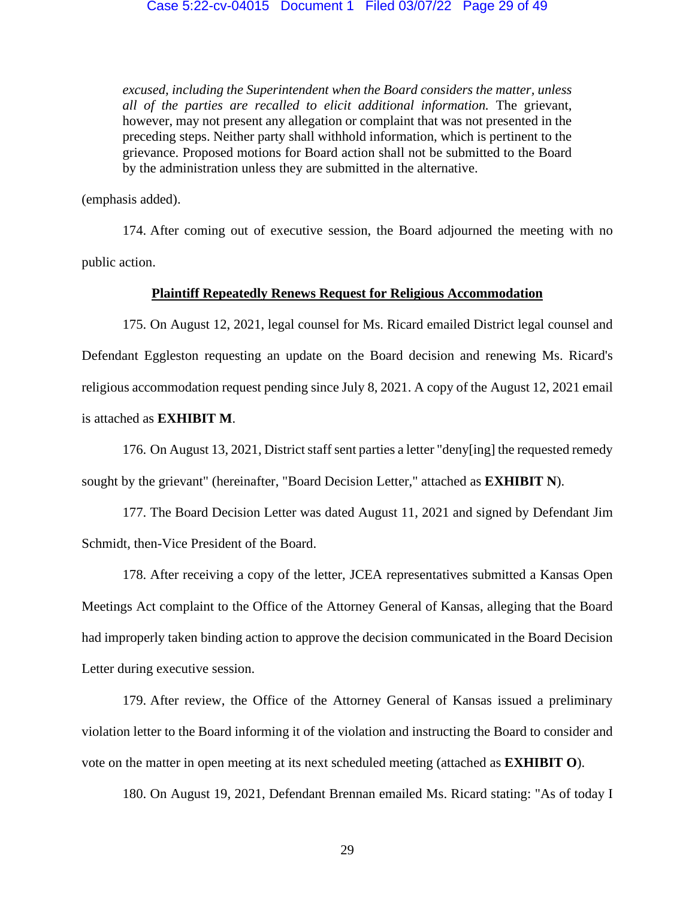*excused, including the Superintendent when the Board considers the matter, unless all of the parties are recalled to elicit additional information.* The grievant, however, may not present any allegation or complaint that was not presented in the preceding steps. Neither party shall withhold information, which is pertinent to the grievance. Proposed motions for Board action shall not be submitted to the Board by the administration unless they are submitted in the alternative.

(emphasis added).

174. After coming out of executive session, the Board adjourned the meeting with no public action.

## **Plaintiff Repeatedly Renews Request for Religious Accommodation**

175. On August 12, 2021, legal counsel for Ms. Ricard emailed District legal counsel and Defendant Eggleston requesting an update on the Board decision and renewing Ms. Ricard's religious accommodation request pending since July 8, 2021. A copy of the August 12, 2021 email is attached as **EXHIBIT M**.

176. On August 13, 2021, District staff sent parties a letter "deny[ing] the requested remedy sought by the grievant" (hereinafter, "Board Decision Letter," attached as **EXHIBIT N**).

177. The Board Decision Letter was dated August 11, 2021 and signed by Defendant Jim Schmidt, then-Vice President of the Board.

178. After receiving a copy of the letter, JCEA representatives submitted a Kansas Open Meetings Act complaint to the Office of the Attorney General of Kansas, alleging that the Board had improperly taken binding action to approve the decision communicated in the Board Decision Letter during executive session.

179. After review, the Office of the Attorney General of Kansas issued a preliminary violation letter to the Board informing it of the violation and instructing the Board to consider and vote on the matter in open meeting at its next scheduled meeting (attached as **EXHIBIT O**).

180. On August 19, 2021, Defendant Brennan emailed Ms. Ricard stating: "As of today I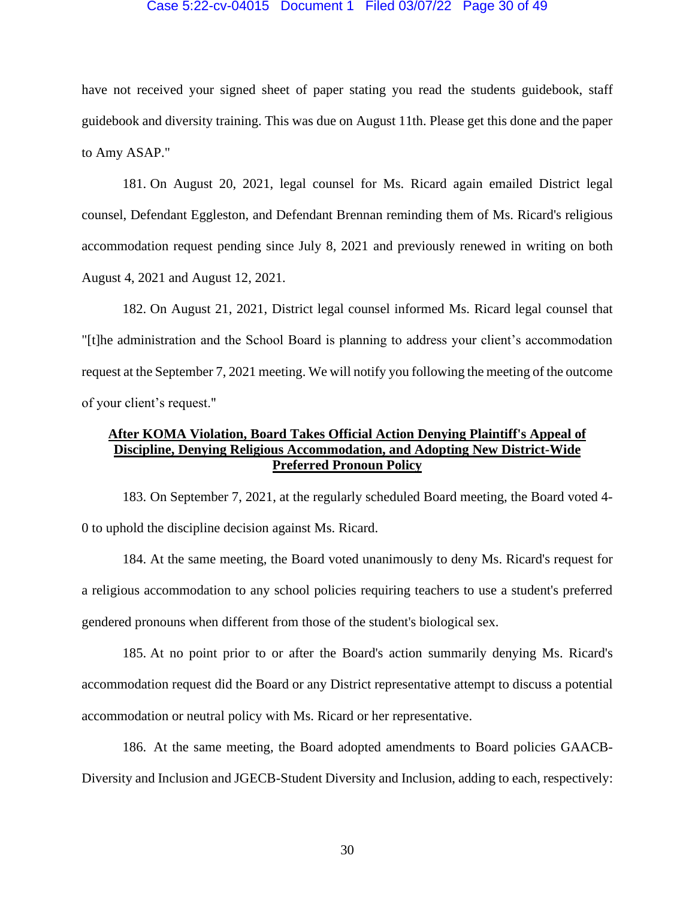#### Case 5:22-cv-04015 Document 1 Filed 03/07/22 Page 30 of 49

have not received your signed sheet of paper stating you read the students guidebook, staff guidebook and diversity training. This was due on August 11th. Please get this done and the paper to Amy ASAP."

181. On August 20, 2021, legal counsel for Ms. Ricard again emailed District legal counsel, Defendant Eggleston, and Defendant Brennan reminding them of Ms. Ricard's religious accommodation request pending since July 8, 2021 and previously renewed in writing on both August 4, 2021 and August 12, 2021.

182. On August 21, 2021, District legal counsel informed Ms. Ricard legal counsel that "[t]he administration and the School Board is planning to address your client's accommodation request at the September 7, 2021 meeting. We will notify you following the meeting of the outcome of your client's request."

## **After KOMA Violation, Board Takes Official Action Denying Plaintiff's Appeal of Discipline, Denying Religious Accommodation, and Adopting New District-Wide Preferred Pronoun Policy**

183. On September 7, 2021, at the regularly scheduled Board meeting, the Board voted 4- 0 to uphold the discipline decision against Ms. Ricard.

184. At the same meeting, the Board voted unanimously to deny Ms. Ricard's request for a religious accommodation to any school policies requiring teachers to use a student's preferred gendered pronouns when different from those of the student's biological sex.

185. At no point prior to or after the Board's action summarily denying Ms. Ricard's accommodation request did the Board or any District representative attempt to discuss a potential accommodation or neutral policy with Ms. Ricard or her representative.

186. At the same meeting, the Board adopted amendments to Board policies GAACB-Diversity and Inclusion and JGECB-Student Diversity and Inclusion, adding to each, respectively: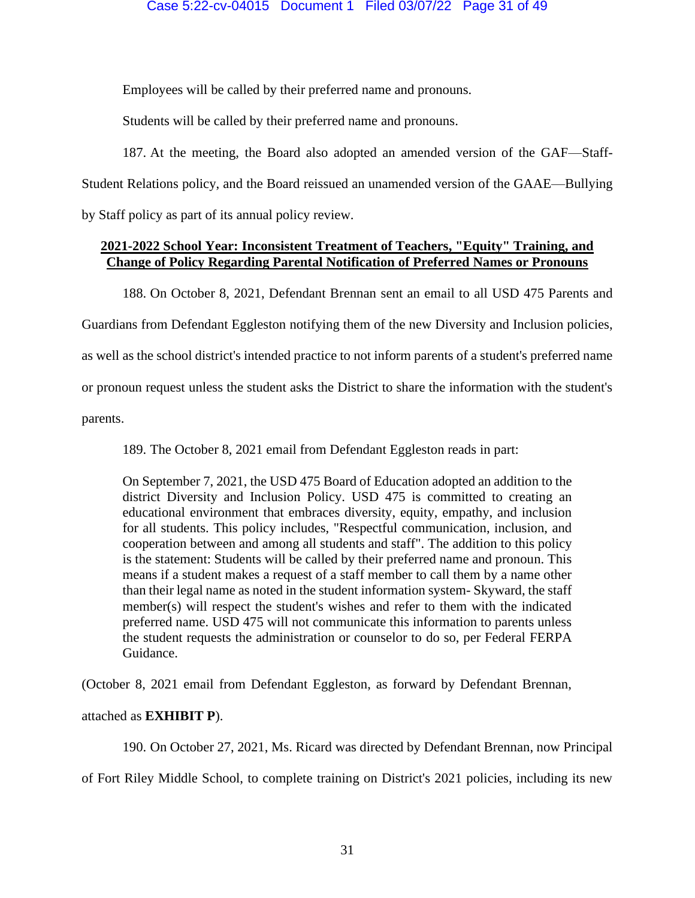Employees will be called by their preferred name and pronouns.

Students will be called by their preferred name and pronouns.

187. At the meeting, the Board also adopted an amended version of the GAF—Staff-Student Relations policy, and the Board reissued an unamended version of the GAAE—Bullying by Staff policy as part of its annual policy review.

## **2021-2022 School Year: Inconsistent Treatment of Teachers, "Equity" Training, and Change of Policy Regarding Parental Notification of Preferred Names or Pronouns**

188. On October 8, 2021, Defendant Brennan sent an email to all USD 475 Parents and

Guardians from Defendant Eggleston notifying them of the new Diversity and Inclusion policies,

as well as the school district's intended practice to not inform parents of a student's preferred name

or pronoun request unless the student asks the District to share the information with the student's

parents.

189. The October 8, 2021 email from Defendant Eggleston reads in part:

On September 7, 2021, the USD 475 Board of Education adopted an addition to the district Diversity and Inclusion Policy. USD 475 is committed to creating an educational environment that embraces diversity, equity, empathy, and inclusion for all students. This policy includes, "Respectful communication, inclusion, and cooperation between and among all students and staff". The addition to this policy is the statement: Students will be called by their preferred name and pronoun. This means if a student makes a request of a staff member to call them by a name other than their legal name as noted in the student information system- Skyward, the staff member(s) will respect the student's wishes and refer to them with the indicated preferred name. USD 475 will not communicate this information to parents unless the student requests the administration or counselor to do so, per Federal FERPA Guidance.

(October 8, 2021 email from Defendant Eggleston, as forward by Defendant Brennan,

## attached as **EXHIBIT P**).

190. On October 27, 2021, Ms. Ricard was directed by Defendant Brennan, now Principal

of Fort Riley Middle School, to complete training on District's 2021 policies, including its new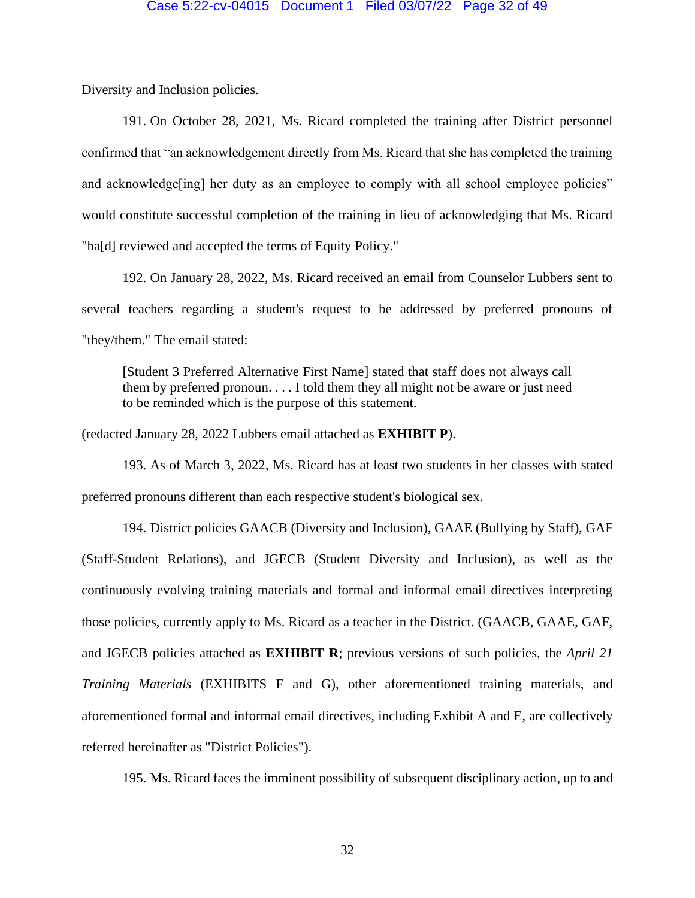Diversity and Inclusion policies.

191. On October 28, 2021, Ms. Ricard completed the training after District personnel confirmed that "an acknowledgement directly from Ms. Ricard that she has completed the training and acknowledge<sup>[ing]</sup> her duty as an employee to comply with all school employee policies" would constitute successful completion of the training in lieu of acknowledging that Ms. Ricard "ha[d] reviewed and accepted the terms of Equity Policy."

192. On January 28, 2022, Ms. Ricard received an email from Counselor Lubbers sent to several teachers regarding a student's request to be addressed by preferred pronouns of "they/them." The email stated:

[Student 3 Preferred Alternative First Name] stated that staff does not always call them by preferred pronoun. . . . I told them they all might not be aware or just need to be reminded which is the purpose of this statement.

(redacted January 28, 2022 Lubbers email attached as **EXHIBIT P**).

193. As of March 3, 2022, Ms. Ricard has at least two students in her classes with stated preferred pronouns different than each respective student's biological sex.

194. District policies GAACB (Diversity and Inclusion), GAAE (Bullying by Staff), GAF (Staff-Student Relations), and JGECB (Student Diversity and Inclusion), as well as the continuously evolving training materials and formal and informal email directives interpreting those policies, currently apply to Ms. Ricard as a teacher in the District. (GAACB, GAAE, GAF, and JGECB policies attached as **EXHIBIT R**; previous versions of such policies, the *April 21 Training Materials* (EXHIBITS F and G), other aforementioned training materials, and aforementioned formal and informal email directives, including Exhibit A and E, are collectively referred hereinafter as "District Policies").

195. Ms. Ricard faces the imminent possibility of subsequent disciplinary action, up to and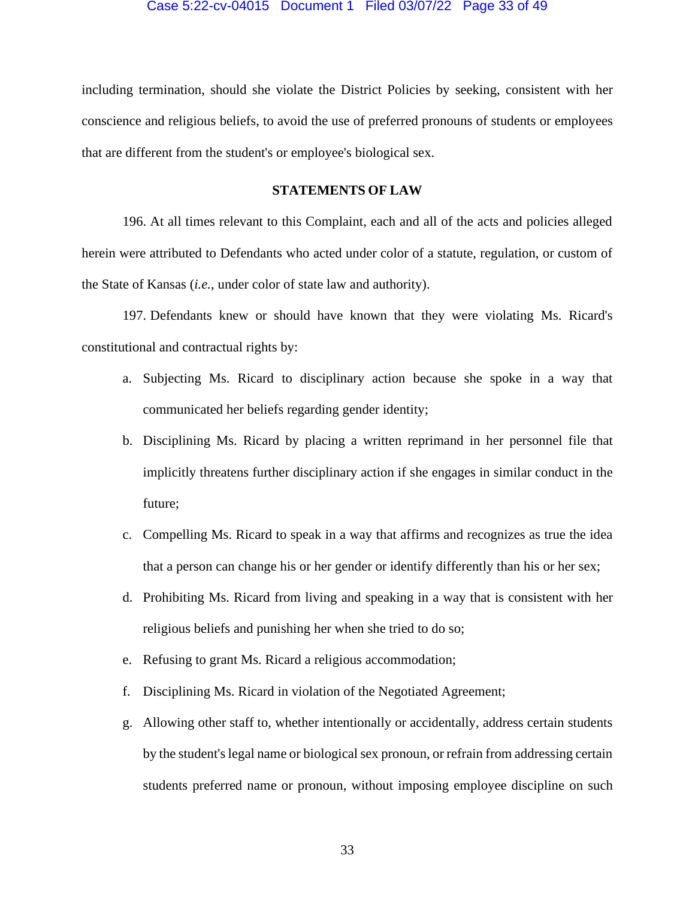including termination, should she violate the District Policies by seeking, consistent with her conscience and religious beliefs, to avoid the use of preferred pronouns of students or employees that are different from the student's or employee's biological sex.

## **STATEMENTS OF LAW**

196. At all times relevant to this Complaint, each and all of the acts and policies alleged herein were attributed to Defendants who acted under color of a statute, regulation, or custom of the State of Kansas (*i.e.*, under color of state law and authority).

197. Defendants knew or should have known that they were violating Ms. Ricard's constitutional and contractual rights by:

- a. Subjecting Ms. Ricard to disciplinary action because she spoke in a way that communicated her beliefs regarding gender identity;
- b. Disciplining Ms. Ricard by placing a written reprimand in her personnel file that implicitly threatens further disciplinary action if she engages in similar conduct in the future;
- c. Compelling Ms. Ricard to speak in a way that affirms and recognizes as true the idea that a person can change his or her gender or identify differently than his or her sex;
- d. Prohibiting Ms. Ricard from living and speaking in a way that is consistent with her religious beliefs and punishing her when she tried to do so;
- e. Refusing to grant Ms. Ricard a religious accommodation;
- f. Disciplining Ms. Ricard in violation of the Negotiated Agreement;
- g. Allowing other staff to, whether intentionally or accidentally, address certain students by the student's legal name or biological sex pronoun, or refrain from addressing certain students preferred name or pronoun, without imposing employee discipline on such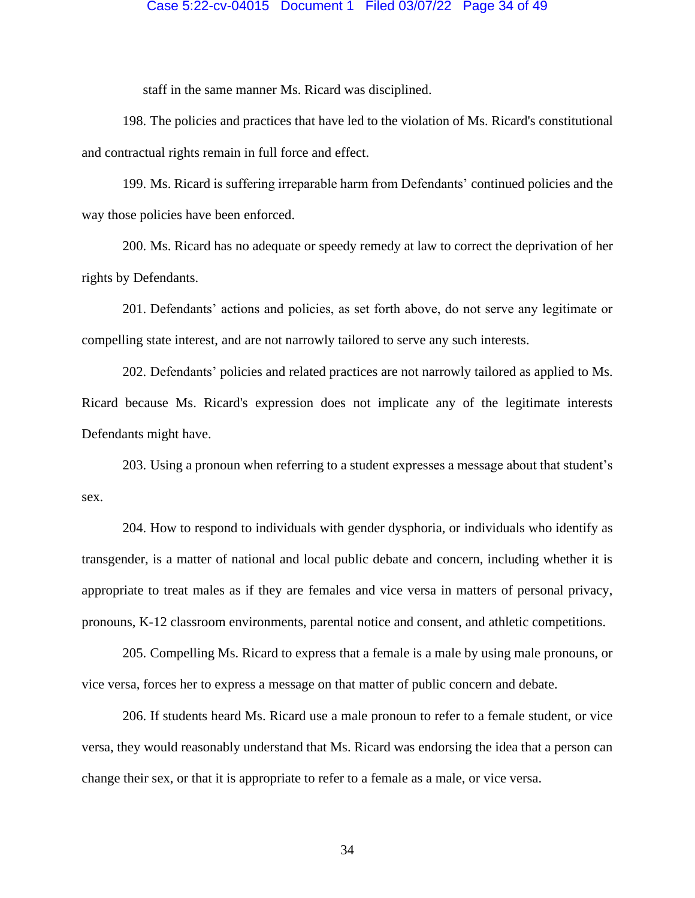## Case 5:22-cv-04015 Document 1 Filed 03/07/22 Page 34 of 49

staff in the same manner Ms. Ricard was disciplined.

198. The policies and practices that have led to the violation of Ms. Ricard's constitutional and contractual rights remain in full force and effect.

199. Ms. Ricard is suffering irreparable harm from Defendants' continued policies and the way those policies have been enforced.

200. Ms. Ricard has no adequate or speedy remedy at law to correct the deprivation of her rights by Defendants.

201. Defendants' actions and policies, as set forth above, do not serve any legitimate or compelling state interest, and are not narrowly tailored to serve any such interests.

202. Defendants' policies and related practices are not narrowly tailored as applied to Ms. Ricard because Ms. Ricard's expression does not implicate any of the legitimate interests Defendants might have.

203. Using a pronoun when referring to a student expresses a message about that student's sex.

204. How to respond to individuals with gender dysphoria, or individuals who identify as transgender, is a matter of national and local public debate and concern, including whether it is appropriate to treat males as if they are females and vice versa in matters of personal privacy, pronouns, K-12 classroom environments, parental notice and consent, and athletic competitions.

205. Compelling Ms. Ricard to express that a female is a male by using male pronouns, or vice versa, forces her to express a message on that matter of public concern and debate.

206. If students heard Ms. Ricard use a male pronoun to refer to a female student, or vice versa, they would reasonably understand that Ms. Ricard was endorsing the idea that a person can change their sex, or that it is appropriate to refer to a female as a male, or vice versa.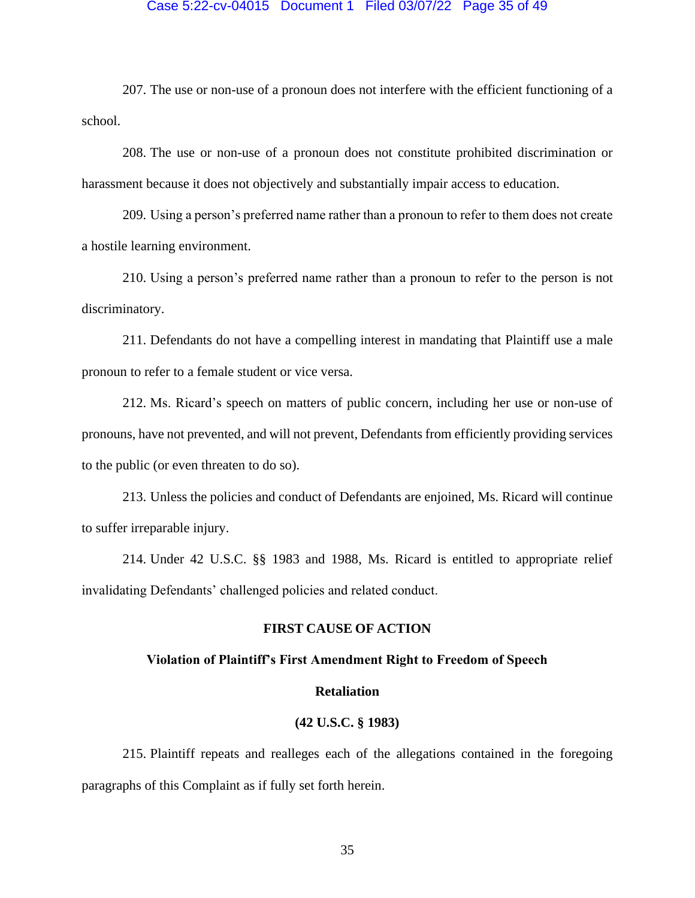#### Case 5:22-cv-04015 Document 1 Filed 03/07/22 Page 35 of 49

207. The use or non-use of a pronoun does not interfere with the efficient functioning of a school.

208. The use or non-use of a pronoun does not constitute prohibited discrimination or harassment because it does not objectively and substantially impair access to education.

209. Using a person's preferred name rather than a pronoun to refer to them does not create a hostile learning environment.

210. Using a person's preferred name rather than a pronoun to refer to the person is not discriminatory.

211. Defendants do not have a compelling interest in mandating that Plaintiff use a male pronoun to refer to a female student or vice versa.

212. Ms. Ricard's speech on matters of public concern, including her use or non-use of pronouns, have not prevented, and will not prevent, Defendants from efficiently providing services to the public (or even threaten to do so).

213. Unless the policies and conduct of Defendants are enjoined, Ms. Ricard will continue to suffer irreparable injury.

214. Under 42 U.S.C. §§ 1983 and 1988, Ms. Ricard is entitled to appropriate relief invalidating Defendants' challenged policies and related conduct.

## **FIRST CAUSE OF ACTION**

### **Violation of Plaintiff's First Amendment Right to Freedom of Speech**

## **Retaliation**

## **(42 U.S.C. § 1983)**

215. Plaintiff repeats and realleges each of the allegations contained in the foregoing paragraphs of this Complaint as if fully set forth herein.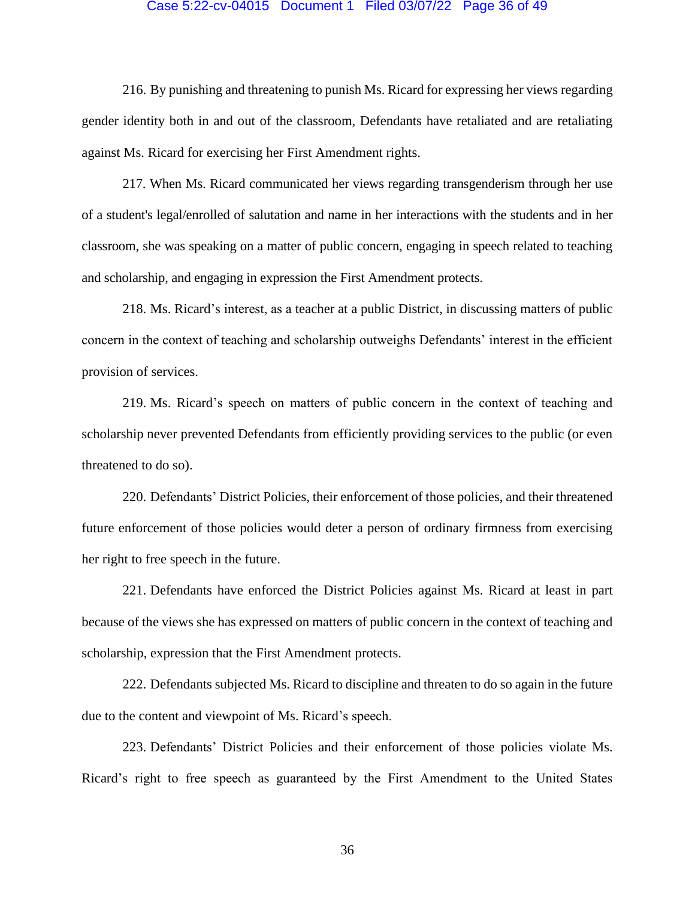#### Case 5:22-cv-04015 Document 1 Filed 03/07/22 Page 36 of 49

216. By punishing and threatening to punish Ms. Ricard for expressing her views regarding gender identity both in and out of the classroom, Defendants have retaliated and are retaliating against Ms. Ricard for exercising her First Amendment rights.

217. When Ms. Ricard communicated her views regarding transgenderism through her use of a student's legal/enrolled of salutation and name in her interactions with the students and in her classroom, she was speaking on a matter of public concern, engaging in speech related to teaching and scholarship, and engaging in expression the First Amendment protects.

218. Ms. Ricard's interest, as a teacher at a public District, in discussing matters of public concern in the context of teaching and scholarship outweighs Defendants' interest in the efficient provision of services.

219. Ms. Ricard's speech on matters of public concern in the context of teaching and scholarship never prevented Defendants from efficiently providing services to the public (or even threatened to do so).

220. Defendants' District Policies, their enforcement of those policies, and their threatened future enforcement of those policies would deter a person of ordinary firmness from exercising her right to free speech in the future.

221. Defendants have enforced the District Policies against Ms. Ricard at least in part because of the views she has expressed on matters of public concern in the context of teaching and scholarship, expression that the First Amendment protects.

222. Defendants subjected Ms. Ricard to discipline and threaten to do so again in the future due to the content and viewpoint of Ms. Ricard's speech.

223. Defendants' District Policies and their enforcement of those policies violate Ms. Ricard's right to free speech as guaranteed by the First Amendment to the United States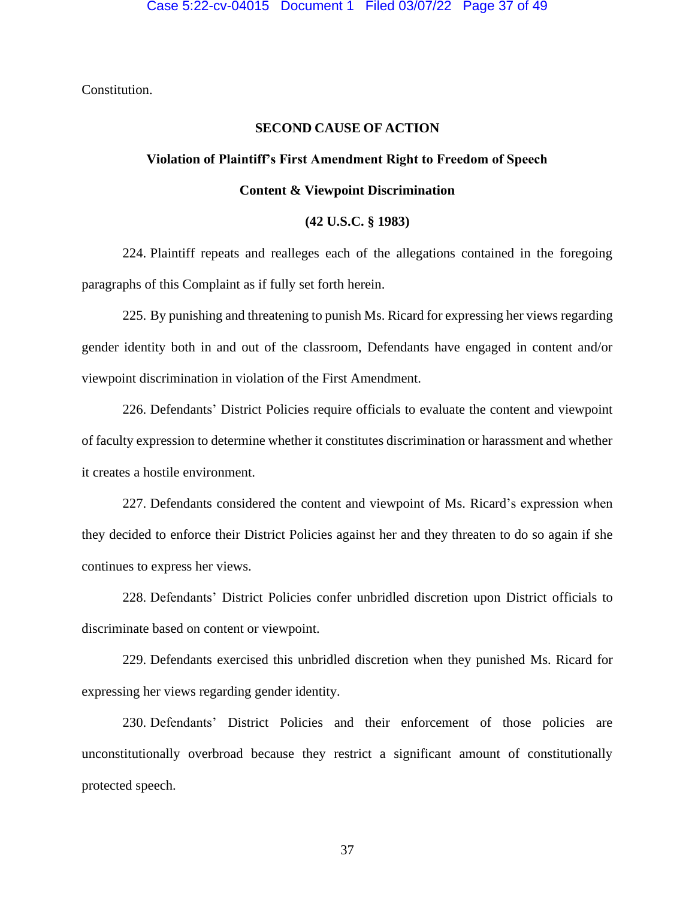Constitution.

## **SECOND CAUSE OF ACTION**

# **Violation of Plaintiff's First Amendment Right to Freedom of Speech Content & Viewpoint Discrimination**

#### **(42 U.S.C. § 1983)**

224. Plaintiff repeats and realleges each of the allegations contained in the foregoing paragraphs of this Complaint as if fully set forth herein.

225. By punishing and threatening to punish Ms. Ricard for expressing her views regarding gender identity both in and out of the classroom, Defendants have engaged in content and/or viewpoint discrimination in violation of the First Amendment.

226. Defendants' District Policies require officials to evaluate the content and viewpoint of faculty expression to determine whether it constitutes discrimination or harassment and whether it creates a hostile environment.

227. Defendants considered the content and viewpoint of Ms. Ricard's expression when they decided to enforce their District Policies against her and they threaten to do so again if she continues to express her views.

228. Defendants' District Policies confer unbridled discretion upon District officials to discriminate based on content or viewpoint.

229. Defendants exercised this unbridled discretion when they punished Ms. Ricard for expressing her views regarding gender identity.

230. Defendants' District Policies and their enforcement of those policies are unconstitutionally overbroad because they restrict a significant amount of constitutionally protected speech.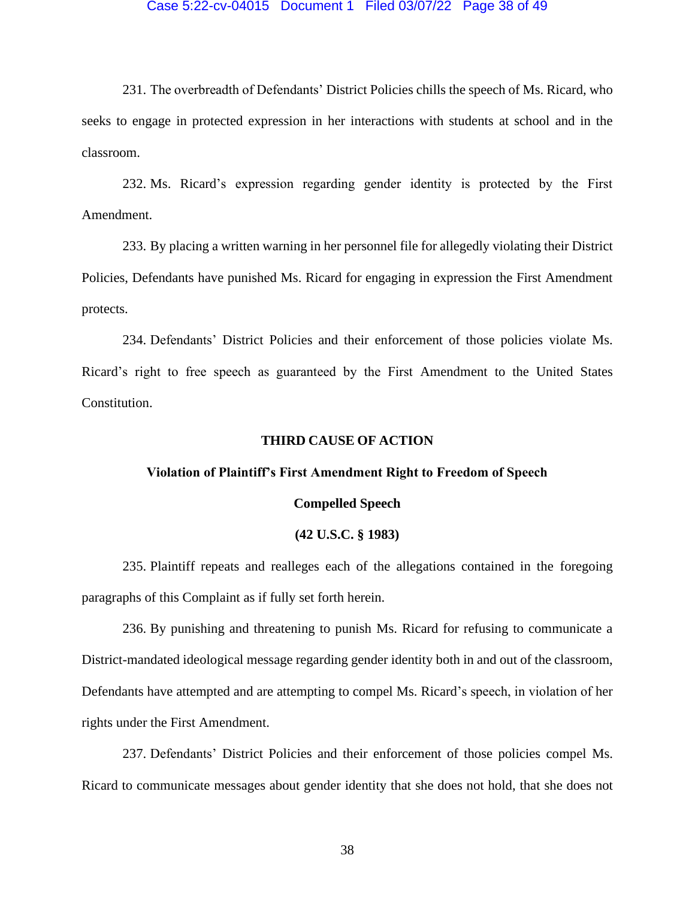#### Case 5:22-cv-04015 Document 1 Filed 03/07/22 Page 38 of 49

231. The overbreadth of Defendants' District Policies chills the speech of Ms. Ricard, who seeks to engage in protected expression in her interactions with students at school and in the classroom.

232. Ms. Ricard's expression regarding gender identity is protected by the First Amendment.

233. By placing a written warning in her personnel file for allegedly violating their District Policies, Defendants have punished Ms. Ricard for engaging in expression the First Amendment protects.

234. Defendants' District Policies and their enforcement of those policies violate Ms. Ricard's right to free speech as guaranteed by the First Amendment to the United States Constitution.

#### **THIRD CAUSE OF ACTION**

## **Violation of Plaintiff's First Amendment Right to Freedom of Speech**

#### **Compelled Speech**

#### **(42 U.S.C. § 1983)**

235. Plaintiff repeats and realleges each of the allegations contained in the foregoing paragraphs of this Complaint as if fully set forth herein.

236. By punishing and threatening to punish Ms. Ricard for refusing to communicate a District-mandated ideological message regarding gender identity both in and out of the classroom, Defendants have attempted and are attempting to compel Ms. Ricard's speech, in violation of her rights under the First Amendment.

237. Defendants' District Policies and their enforcement of those policies compel Ms. Ricard to communicate messages about gender identity that she does not hold, that she does not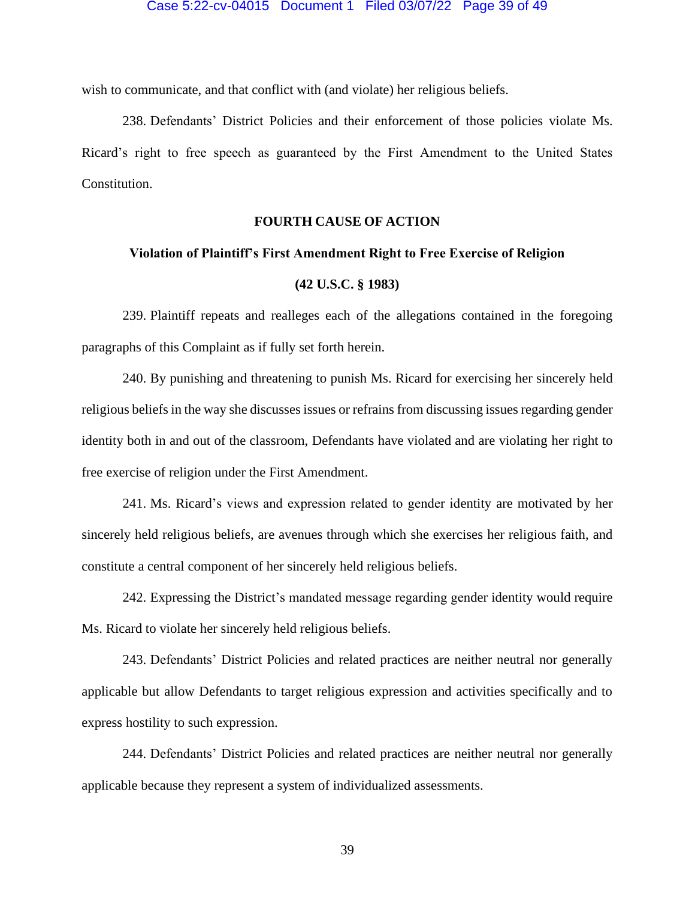wish to communicate, and that conflict with (and violate) her religious beliefs.

238. Defendants' District Policies and their enforcement of those policies violate Ms. Ricard's right to free speech as guaranteed by the First Amendment to the United States Constitution.

## **FOURTH CAUSE OF ACTION**

#### **Violation of Plaintiff's First Amendment Right to Free Exercise of Religion**

#### **(42 U.S.C. § 1983)**

239. Plaintiff repeats and realleges each of the allegations contained in the foregoing paragraphs of this Complaint as if fully set forth herein.

240. By punishing and threatening to punish Ms. Ricard for exercising her sincerely held religious beliefs in the way she discusses issues or refrains from discussing issues regarding gender identity both in and out of the classroom, Defendants have violated and are violating her right to free exercise of religion under the First Amendment.

241. Ms. Ricard's views and expression related to gender identity are motivated by her sincerely held religious beliefs, are avenues through which she exercises her religious faith, and constitute a central component of her sincerely held religious beliefs.

242. Expressing the District's mandated message regarding gender identity would require Ms. Ricard to violate her sincerely held religious beliefs.

243. Defendants' District Policies and related practices are neither neutral nor generally applicable but allow Defendants to target religious expression and activities specifically and to express hostility to such expression.

244. Defendants' District Policies and related practices are neither neutral nor generally applicable because they represent a system of individualized assessments.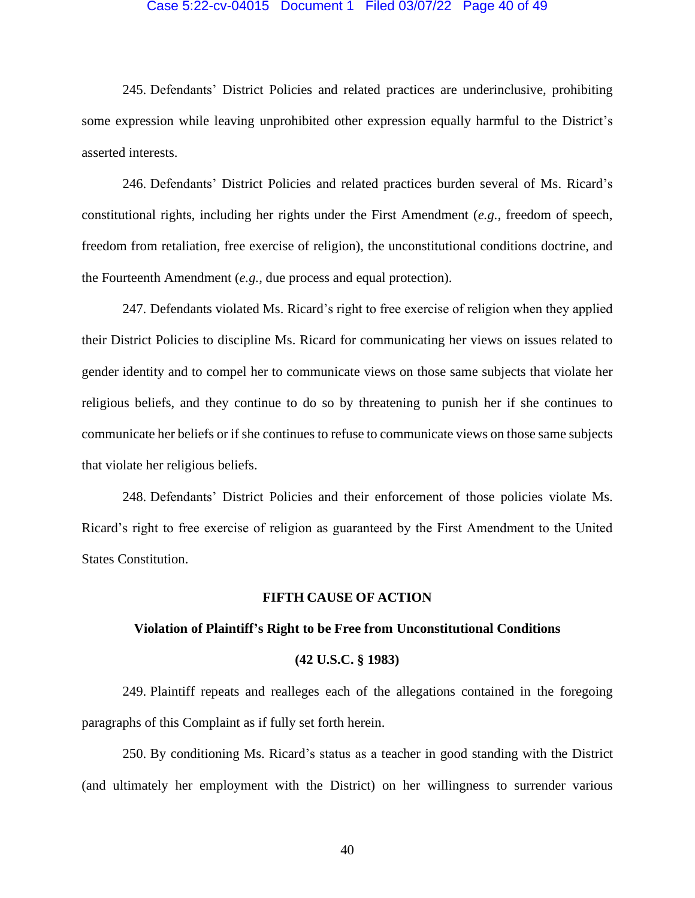## Case 5:22-cv-04015 Document 1 Filed 03/07/22 Page 40 of 49

245. Defendants' District Policies and related practices are underinclusive, prohibiting some expression while leaving unprohibited other expression equally harmful to the District's asserted interests.

246. Defendants' District Policies and related practices burden several of Ms. Ricard's constitutional rights, including her rights under the First Amendment (*e.g.*, freedom of speech, freedom from retaliation, free exercise of religion), the unconstitutional conditions doctrine, and the Fourteenth Amendment (*e.g.*, due process and equal protection).

247. Defendants violated Ms. Ricard's right to free exercise of religion when they applied their District Policies to discipline Ms. Ricard for communicating her views on issues related to gender identity and to compel her to communicate views on those same subjects that violate her religious beliefs, and they continue to do so by threatening to punish her if she continues to communicate her beliefs or if she continues to refuse to communicate views on those same subjects that violate her religious beliefs.

248. Defendants' District Policies and their enforcement of those policies violate Ms. Ricard's right to free exercise of religion as guaranteed by the First Amendment to the United States Constitution.

#### **FIFTH CAUSE OF ACTION**

#### **Violation of Plaintiff's Right to be Free from Unconstitutional Conditions**

#### **(42 U.S.C. § 1983)**

249. Plaintiff repeats and realleges each of the allegations contained in the foregoing paragraphs of this Complaint as if fully set forth herein.

250. By conditioning Ms. Ricard's status as a teacher in good standing with the District (and ultimately her employment with the District) on her willingness to surrender various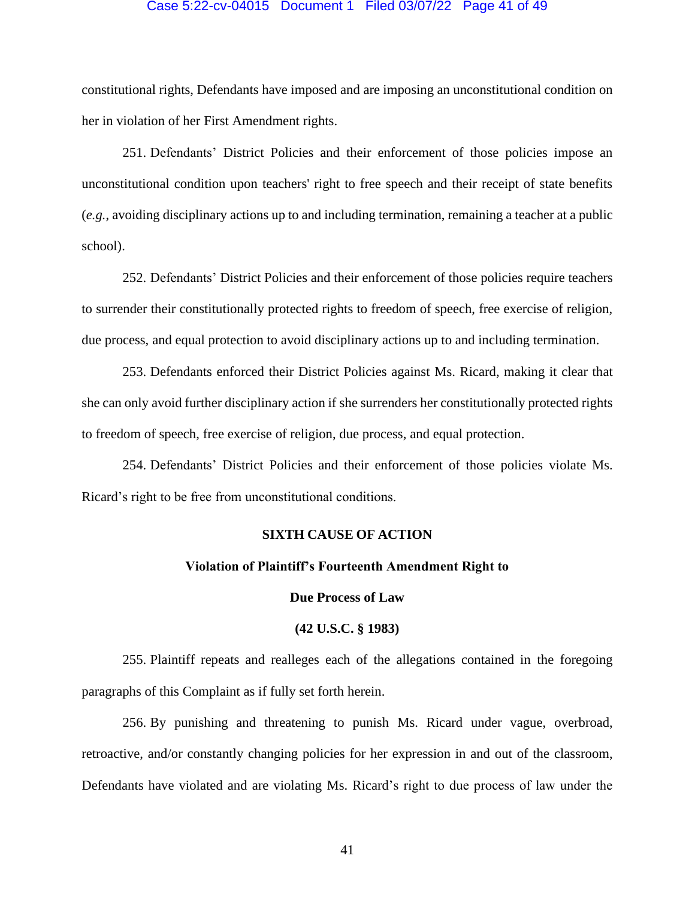#### Case 5:22-cv-04015 Document 1 Filed 03/07/22 Page 41 of 49

constitutional rights, Defendants have imposed and are imposing an unconstitutional condition on her in violation of her First Amendment rights.

251. Defendants' District Policies and their enforcement of those policies impose an unconstitutional condition upon teachers' right to free speech and their receipt of state benefits (*e.g.*, avoiding disciplinary actions up to and including termination, remaining a teacher at a public school).

252. Defendants' District Policies and their enforcement of those policies require teachers to surrender their constitutionally protected rights to freedom of speech, free exercise of religion, due process, and equal protection to avoid disciplinary actions up to and including termination.

253. Defendants enforced their District Policies against Ms. Ricard, making it clear that she can only avoid further disciplinary action if she surrenders her constitutionally protected rights to freedom of speech, free exercise of religion, due process, and equal protection.

254. Defendants' District Policies and their enforcement of those policies violate Ms. Ricard's right to be free from unconstitutional conditions.

## **SIXTH CAUSE OF ACTION**

#### **Violation of Plaintiff's Fourteenth Amendment Right to**

#### **Due Process of Law**

## **(42 U.S.C. § 1983)**

255. Plaintiff repeats and realleges each of the allegations contained in the foregoing paragraphs of this Complaint as if fully set forth herein.

256. By punishing and threatening to punish Ms. Ricard under vague, overbroad, retroactive, and/or constantly changing policies for her expression in and out of the classroom, Defendants have violated and are violating Ms. Ricard's right to due process of law under the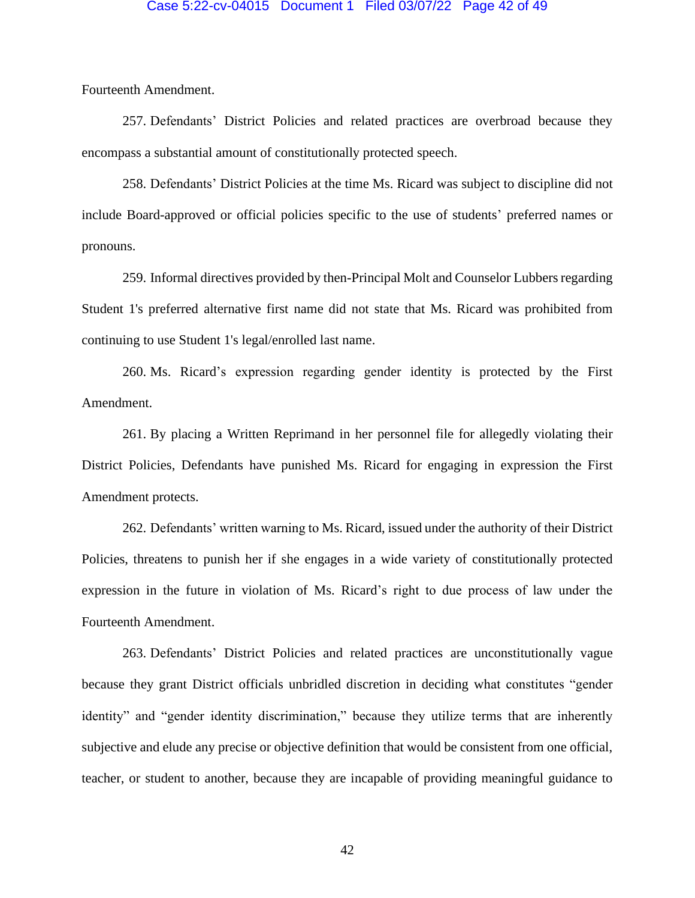#### Case 5:22-cv-04015 Document 1 Filed 03/07/22 Page 42 of 49

Fourteenth Amendment.

257. Defendants' District Policies and related practices are overbroad because they encompass a substantial amount of constitutionally protected speech.

258. Defendants' District Policies at the time Ms. Ricard was subject to discipline did not include Board-approved or official policies specific to the use of students' preferred names or pronouns.

259. Informal directives provided by then-Principal Molt and Counselor Lubbers regarding Student 1's preferred alternative first name did not state that Ms. Ricard was prohibited from continuing to use Student 1's legal/enrolled last name.

260. Ms. Ricard's expression regarding gender identity is protected by the First Amendment.

261. By placing a Written Reprimand in her personnel file for allegedly violating their District Policies, Defendants have punished Ms. Ricard for engaging in expression the First Amendment protects.

262. Defendants' written warning to Ms. Ricard, issued under the authority of their District Policies, threatens to punish her if she engages in a wide variety of constitutionally protected expression in the future in violation of Ms. Ricard's right to due process of law under the Fourteenth Amendment.

263. Defendants' District Policies and related practices are unconstitutionally vague because they grant District officials unbridled discretion in deciding what constitutes "gender identity" and "gender identity discrimination," because they utilize terms that are inherently subjective and elude any precise or objective definition that would be consistent from one official, teacher, or student to another, because they are incapable of providing meaningful guidance to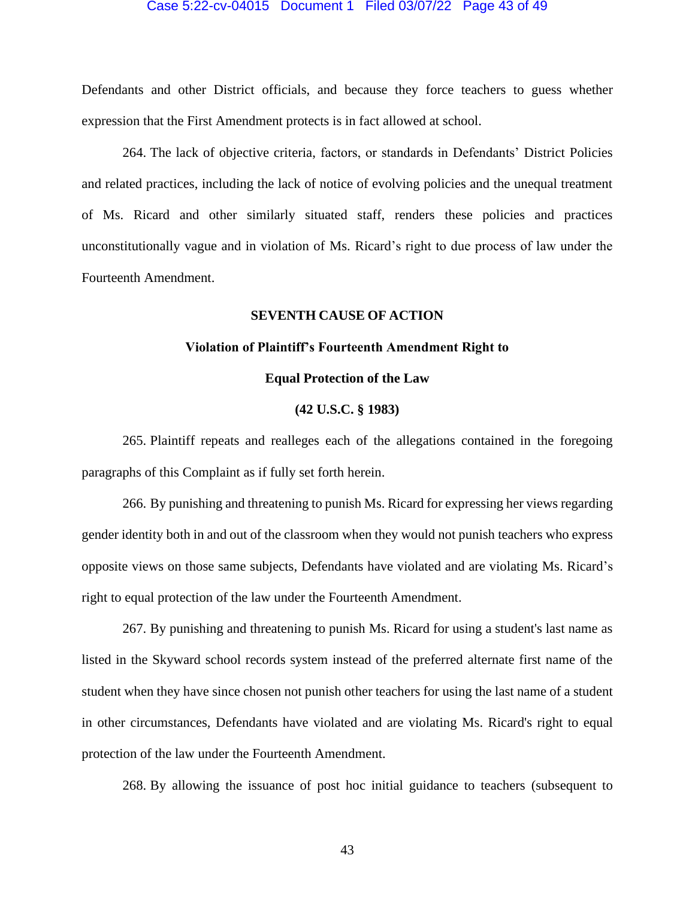## Case 5:22-cv-04015 Document 1 Filed 03/07/22 Page 43 of 49

Defendants and other District officials, and because they force teachers to guess whether expression that the First Amendment protects is in fact allowed at school.

264. The lack of objective criteria, factors, or standards in Defendants' District Policies and related practices, including the lack of notice of evolving policies and the unequal treatment of Ms. Ricard and other similarly situated staff, renders these policies and practices unconstitutionally vague and in violation of Ms. Ricard's right to due process of law under the Fourteenth Amendment.

## **SEVENTH CAUSE OF ACTION**

#### **Violation of Plaintiff's Fourteenth Amendment Right to**

## **Equal Protection of the Law**

#### **(42 U.S.C. § 1983)**

265. Plaintiff repeats and realleges each of the allegations contained in the foregoing paragraphs of this Complaint as if fully set forth herein.

266. By punishing and threatening to punish Ms. Ricard for expressing her views regarding gender identity both in and out of the classroom when they would not punish teachers who express opposite views on those same subjects, Defendants have violated and are violating Ms. Ricard's right to equal protection of the law under the Fourteenth Amendment.

267. By punishing and threatening to punish Ms. Ricard for using a student's last name as listed in the Skyward school records system instead of the preferred alternate first name of the student when they have since chosen not punish other teachers for using the last name of a student in other circumstances, Defendants have violated and are violating Ms. Ricard's right to equal protection of the law under the Fourteenth Amendment.

268. By allowing the issuance of post hoc initial guidance to teachers (subsequent to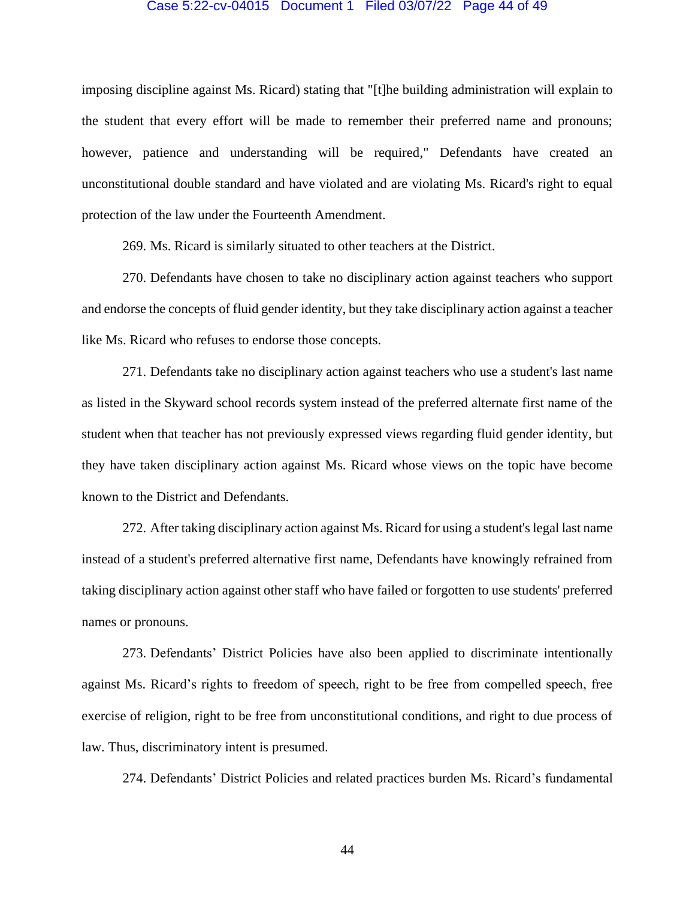#### Case 5:22-cv-04015 Document 1 Filed 03/07/22 Page 44 of 49

imposing discipline against Ms. Ricard) stating that "[t]he building administration will explain to the student that every effort will be made to remember their preferred name and pronouns; however, patience and understanding will be required," Defendants have created an unconstitutional double standard and have violated and are violating Ms. Ricard's right to equal protection of the law under the Fourteenth Amendment.

269. Ms. Ricard is similarly situated to other teachers at the District.

270. Defendants have chosen to take no disciplinary action against teachers who support and endorse the concepts of fluid gender identity, but they take disciplinary action against a teacher like Ms. Ricard who refuses to endorse those concepts.

271. Defendants take no disciplinary action against teachers who use a student's last name as listed in the Skyward school records system instead of the preferred alternate first name of the student when that teacher has not previously expressed views regarding fluid gender identity, but they have taken disciplinary action against Ms. Ricard whose views on the topic have become known to the District and Defendants.

272. After taking disciplinary action against Ms. Ricard for using a student's legal last name instead of a student's preferred alternative first name, Defendants have knowingly refrained from taking disciplinary action against other staff who have failed or forgotten to use students' preferred names or pronouns.

273. Defendants' District Policies have also been applied to discriminate intentionally against Ms. Ricard's rights to freedom of speech, right to be free from compelled speech, free exercise of religion, right to be free from unconstitutional conditions, and right to due process of law. Thus, discriminatory intent is presumed.

274. Defendants' District Policies and related practices burden Ms. Ricard's fundamental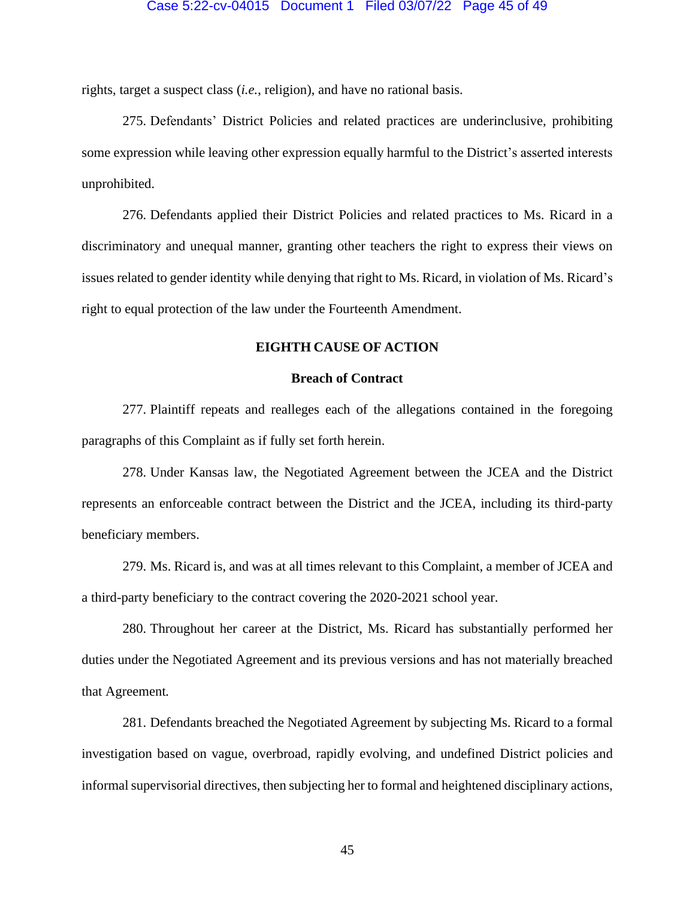#### Case 5:22-cv-04015 Document 1 Filed 03/07/22 Page 45 of 49

rights, target a suspect class (*i.e.*, religion), and have no rational basis.

275. Defendants' District Policies and related practices are underinclusive, prohibiting some expression while leaving other expression equally harmful to the District's asserted interests unprohibited.

276. Defendants applied their District Policies and related practices to Ms. Ricard in a discriminatory and unequal manner, granting other teachers the right to express their views on issues related to gender identity while denying that right to Ms. Ricard, in violation of Ms. Ricard's right to equal protection of the law under the Fourteenth Amendment.

## **EIGHTH CAUSE OF ACTION**

#### **Breach of Contract**

277. Plaintiff repeats and realleges each of the allegations contained in the foregoing paragraphs of this Complaint as if fully set forth herein.

278. Under Kansas law, the Negotiated Agreement between the JCEA and the District represents an enforceable contract between the District and the JCEA, including its third-party beneficiary members.

279. Ms. Ricard is, and was at all times relevant to this Complaint, a member of JCEA and a third-party beneficiary to the contract covering the 2020-2021 school year.

280. Throughout her career at the District, Ms. Ricard has substantially performed her duties under the Negotiated Agreement and its previous versions and has not materially breached that Agreement*.* 

281. Defendants breached the Negotiated Agreement by subjecting Ms. Ricard to a formal investigation based on vague, overbroad, rapidly evolving, and undefined District policies and informal supervisorial directives, then subjecting her to formal and heightened disciplinary actions,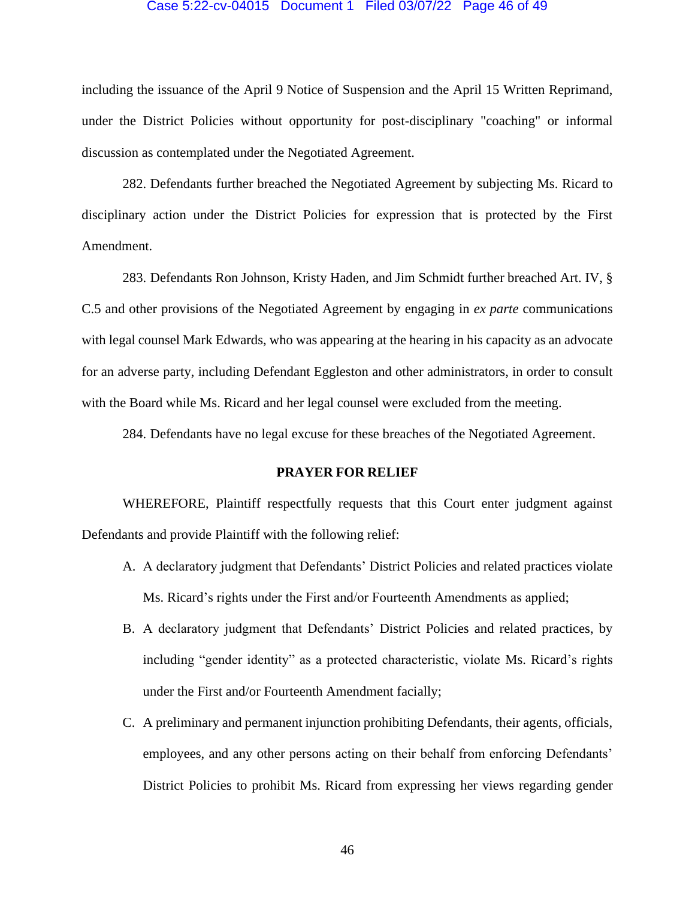#### Case 5:22-cv-04015 Document 1 Filed 03/07/22 Page 46 of 49

including the issuance of the April 9 Notice of Suspension and the April 15 Written Reprimand, under the District Policies without opportunity for post-disciplinary "coaching" or informal discussion as contemplated under the Negotiated Agreement.

282. Defendants further breached the Negotiated Agreement by subjecting Ms. Ricard to disciplinary action under the District Policies for expression that is protected by the First Amendment.

283. Defendants Ron Johnson, Kristy Haden, and Jim Schmidt further breached Art. IV, § C.5 and other provisions of the Negotiated Agreement by engaging in *ex parte* communications with legal counsel Mark Edwards, who was appearing at the hearing in his capacity as an advocate for an adverse party, including Defendant Eggleston and other administrators, in order to consult with the Board while Ms. Ricard and her legal counsel were excluded from the meeting.

284. Defendants have no legal excuse for these breaches of the Negotiated Agreement.

## **PRAYER FOR RELIEF**

WHEREFORE, Plaintiff respectfully requests that this Court enter judgment against Defendants and provide Plaintiff with the following relief:

- A. A declaratory judgment that Defendants' District Policies and related practices violate Ms. Ricard's rights under the First and/or Fourteenth Amendments as applied;
- B. A declaratory judgment that Defendants' District Policies and related practices, by including "gender identity" as a protected characteristic, violate Ms. Ricard's rights under the First and/or Fourteenth Amendment facially;
- C. A preliminary and permanent injunction prohibiting Defendants, their agents, officials, employees, and any other persons acting on their behalf from enforcing Defendants' District Policies to prohibit Ms. Ricard from expressing her views regarding gender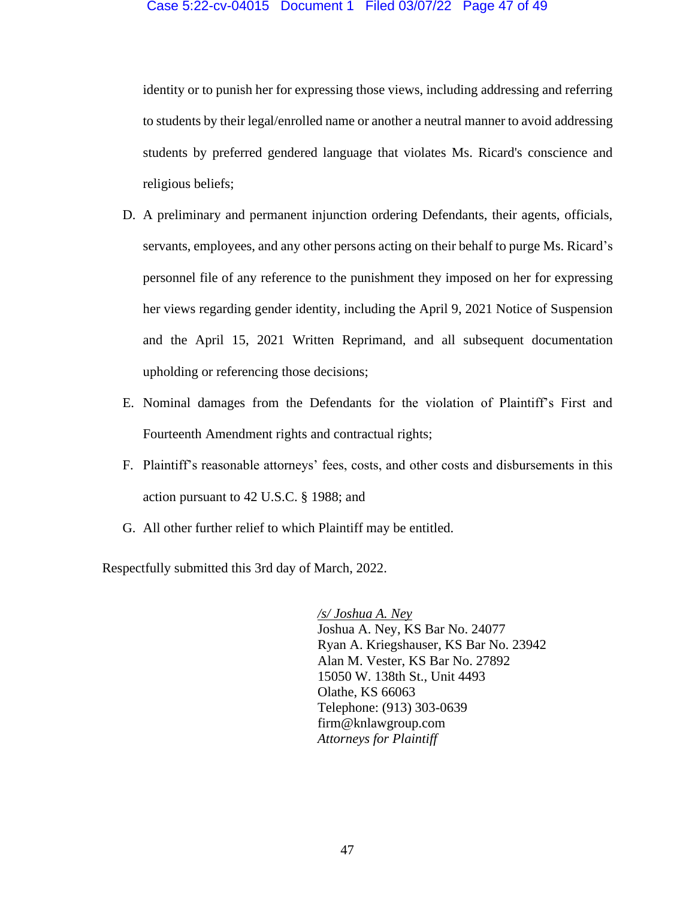#### Case 5:22-cv-04015 Document 1 Filed 03/07/22 Page 47 of 49

identity or to punish her for expressing those views, including addressing and referring to students by their legal/enrolled name or another a neutral manner to avoid addressing students by preferred gendered language that violates Ms. Ricard's conscience and religious beliefs;

- D. A preliminary and permanent injunction ordering Defendants, their agents, officials, servants, employees, and any other persons acting on their behalf to purge Ms. Ricard's personnel file of any reference to the punishment they imposed on her for expressing her views regarding gender identity, including the April 9, 2021 Notice of Suspension and the April 15, 2021 Written Reprimand, and all subsequent documentation upholding or referencing those decisions;
- E. Nominal damages from the Defendants for the violation of Plaintiff's First and Fourteenth Amendment rights and contractual rights;
- F. Plaintiff's reasonable attorneys' fees, costs, and other costs and disbursements in this action pursuant to 42 U.S.C. § 1988; and
- G. All other further relief to which Plaintiff may be entitled.

Respectfully submitted this 3rd day of March, 2022.

*/s/ Joshua A. Ney* Joshua A. Ney, KS Bar No. 24077 Ryan A. Kriegshauser, KS Bar No. 23942 Alan M. Vester, KS Bar No. 27892 15050 W. 138th St., Unit 4493 Olathe, KS 66063 Telephone: (913) 303-0639 firm@knlawgroup.com *Attorneys for Plaintiff*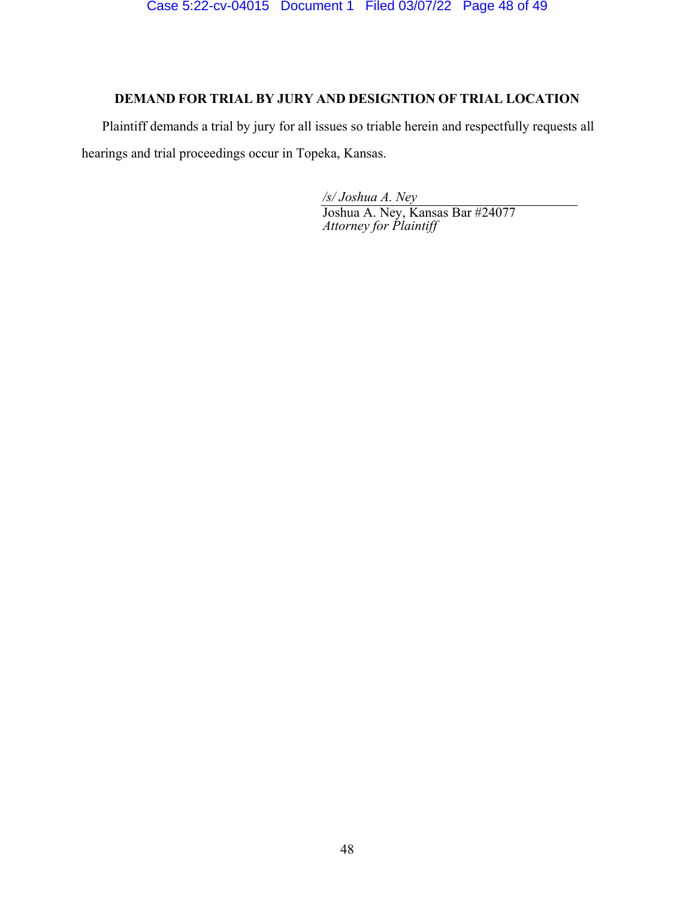## DEMAND FOR TRIAL BY JURY AND DESIGNTION OF TRIAL LOCATION

Plaintiff demands a trial by jury for all issues so triable herein and respectfully requests all hearings and trial proceedings occur in Topeka, Kansas.

> /s/ Joshua A. Ney Joshua A. Ney, Kansas Bar #24077 Attorney for Plaintiff